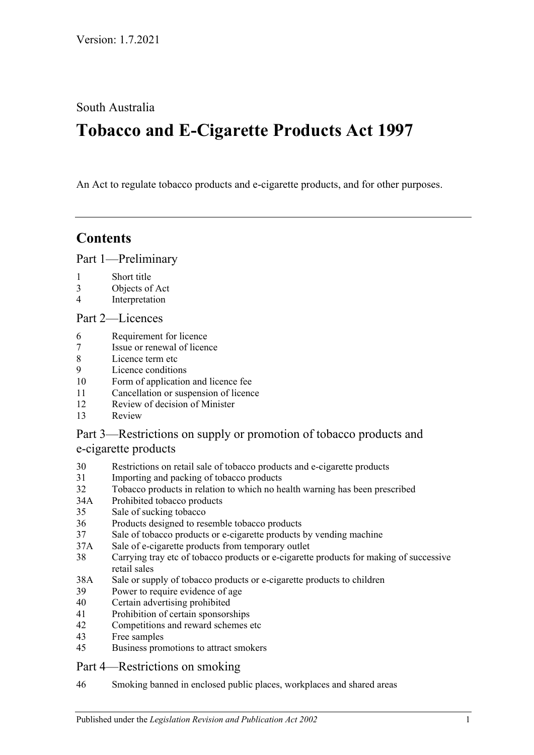South Australia

# **Tobacco and E-Cigarette Products Act 1997**

An Act to regulate tobacco products and e-cigarette products, and for other purposes.

# **Contents**

[Part 1—Preliminary](#page-1-0)

- 1 [Short title](#page-1-1)
- 3 [Objects of Act](#page-2-0)
- 4 [Interpretation](#page-2-1)

# [Part 2—Licences](#page-6-0)

- 6 [Requirement for licence](#page-6-1)
- 7 [Issue or renewal of licence](#page-6-2)
- 8 [Licence term etc](#page-6-3)<br>9 Licence condition
- [Licence conditions](#page-6-4)
- 10 [Form of application and licence fee](#page-7-0)
- 11 [Cancellation or suspension of licence](#page-7-1)
- 12 [Review of decision of Minister](#page-7-2)
- 13 [Review](#page-8-0)

# [Part 3—Restrictions on supply or promotion of tobacco products and](#page-8-1)  [e-cigarette products](#page-8-1)

- 30 [Restrictions on retail sale of tobacco products and e-cigarette products](#page-8-2)
- 31 [Importing and packing of tobacco products](#page-9-0)
- 32 [Tobacco products in relation to which no health warning has been prescribed](#page-9-1)
- 34A [Prohibited tobacco products](#page-9-2)
- 35 [Sale of sucking tobacco](#page-10-0)
- 36 [Products designed to resemble tobacco products](#page-10-1)
- 37 [Sale of tobacco products or e-cigarette products by vending machine](#page-10-2)
- 37A [Sale of e-cigarette products from temporary outlet](#page-11-0)
- 38 [Carrying tray etc of tobacco products or e-cigarette products for making of successive](#page-11-1)  [retail sales](#page-11-1)
- 38A [Sale or supply of tobacco products or e-cigarette products to children](#page-11-2)
- 39 [Power to require evidence of age](#page-13-0)
- 40 [Certain advertising prohibited](#page-13-1)
- 41 [Prohibition of certain sponsorships](#page-14-0)
- 42 [Competitions and reward schemes etc](#page-14-1)
- 43 [Free samples](#page-14-2)
- 45 [Business promotions to attract smokers](#page-15-0)
- [Part 4—Restrictions on smoking](#page-15-1)
- 46 [Smoking banned in enclosed public places, workplaces and shared areas](#page-15-2)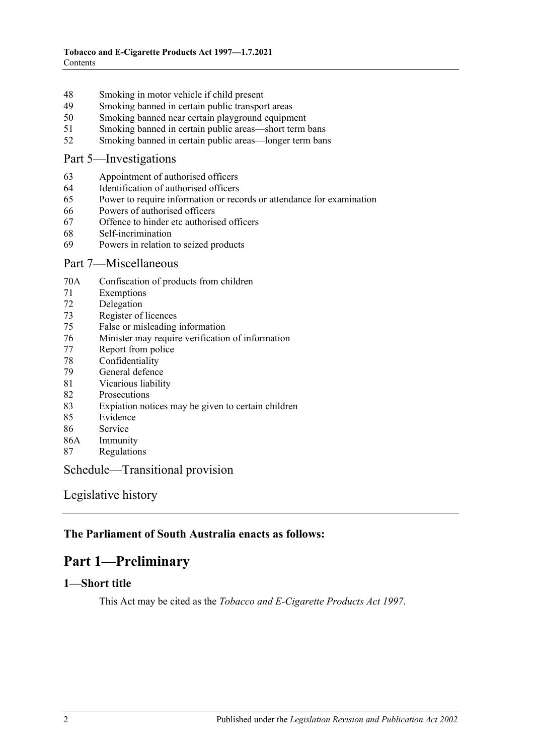- [Smoking in motor vehicle if child present](#page-15-3)
- [Smoking banned in certain public transport areas](#page-16-0)
- [Smoking banned near certain playground equipment](#page-16-1)
- [Smoking banned in certain public areas—short term bans](#page-17-0)<br>52 Smoking banned in certain public areas—longer term ban
- [Smoking banned in certain public areas—longer term bans](#page-17-1)

### [Part 5—Investigations](#page-18-0)

- [Appointment of authorised officers](#page-18-1)
- [Identification of authorised officers](#page-18-2)
- [Power to require information or records or attendance for examination](#page-18-3)
- [Powers of authorised officers](#page-19-0)
- [Offence to hinder etc authorised officers](#page-20-0)
- [Self-incrimination](#page-20-1)
- [Powers in relation to seized products](#page-21-0)

### [Part 7—Miscellaneous](#page-22-0)

- 70A [Confiscation of products from children](#page-22-1)
- [Exemptions](#page-22-2)
- [Delegation](#page-22-3)
- [Register of licences](#page-23-0)
- [False or misleading information](#page-23-1)
- [Minister may require verification of information](#page-23-2)
- [Report from police](#page-23-3)
- [Confidentiality](#page-23-4)
- [General defence](#page-24-0)
- [Vicarious liability](#page-24-1)
- [Prosecutions](#page-24-2)
- [Expiation notices may be given to certain children](#page-24-3)
- [Evidence](#page-24-4)
- [Service](#page-24-5)
- 86A [Immunity](#page-25-0)
- [Regulations](#page-25-1)

# [Schedule—Transitional provision](#page-26-0)

[Legislative history](#page-27-0)

# <span id="page-1-0"></span>**The Parliament of South Australia enacts as follows:**

# **Part 1—Preliminary**

# <span id="page-1-1"></span>**1—Short title**

This Act may be cited as the *Tobacco and E-Cigarette Products Act 1997*.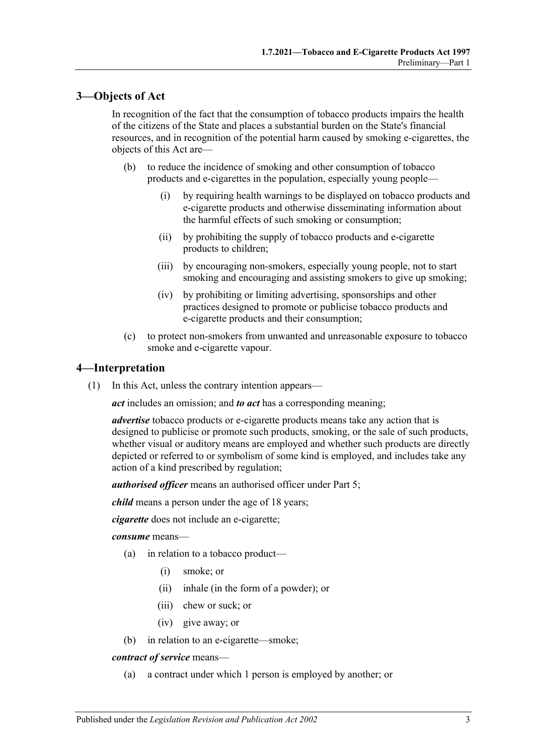# <span id="page-2-0"></span>**3—Objects of Act**

In recognition of the fact that the consumption of tobacco products impairs the health of the citizens of the State and places a substantial burden on the State's financial resources, and in recognition of the potential harm caused by smoking e-cigarettes, the objects of this Act are—

- (b) to reduce the incidence of smoking and other consumption of tobacco products and e-cigarettes in the population, especially young people—
	- (i) by requiring health warnings to be displayed on tobacco products and e-cigarette products and otherwise disseminating information about the harmful effects of such smoking or consumption;
	- (ii) by prohibiting the supply of tobacco products and e-cigarette products to children;
	- (iii) by encouraging non-smokers, especially young people, not to start smoking and encouraging and assisting smokers to give up smoking;
	- (iv) by prohibiting or limiting advertising, sponsorships and other practices designed to promote or publicise tobacco products and e-cigarette products and their consumption;
- (c) to protect non-smokers from unwanted and unreasonable exposure to tobacco smoke and e-cigarette vapour.

### <span id="page-2-1"></span>**4—Interpretation**

(1) In this Act, unless the contrary intention appears—

*act* includes an omission; and *to act* has a corresponding meaning;

*advertise* tobacco products or e-cigarette products means take any action that is designed to publicise or promote such products, smoking, or the sale of such products, whether visual or auditory means are employed and whether such products are directly depicted or referred to or symbolism of some kind is employed, and includes take any action of a kind prescribed by regulation;

*authorised officer* means an authorised officer under [Part 5;](#page-18-0)

*child* means a person under the age of 18 years;

*cigarette* does not include an e-cigarette;

*consume* means—

- (a) in relation to a tobacco product—
	- (i) smoke; or
	- (ii) inhale (in the form of a powder); or
	- (iii) chew or suck; or
	- (iv) give away; or
- (b) in relation to an e-cigarette—smoke;

#### *contract of service* means—

(a) a contract under which 1 person is employed by another; or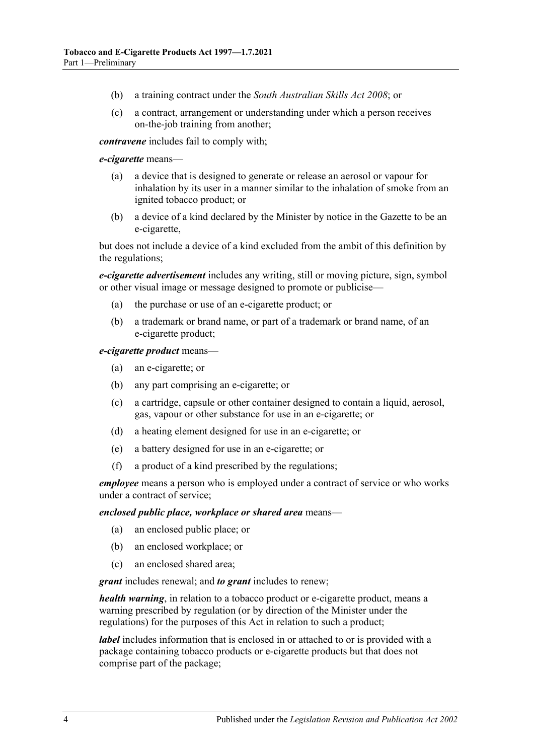- (b) a training contract under the *[South Australian Skills Act](http://www.legislation.sa.gov.au/index.aspx?action=legref&type=act&legtitle=South%20Australian%20Skills%20Act%202008) 2008*; or
- (c) a contract, arrangement or understanding under which a person receives on-the-job training from another;

*contravene* includes fail to comply with;

#### *e-cigarette* means—

- (a) a device that is designed to generate or release an aerosol or vapour for inhalation by its user in a manner similar to the inhalation of smoke from an ignited tobacco product; or
- (b) a device of a kind declared by the Minister by notice in the Gazette to be an e-cigarette,

but does not include a device of a kind excluded from the ambit of this definition by the regulations;

*e-cigarette advertisement* includes any writing, still or moving picture, sign, symbol or other visual image or message designed to promote or publicise—

- (a) the purchase or use of an e-cigarette product; or
- (b) a trademark or brand name, or part of a trademark or brand name, of an e-cigarette product;

#### *e-cigarette product* means—

- (a) an e-cigarette; or
- (b) any part comprising an e-cigarette; or
- (c) a cartridge, capsule or other container designed to contain a liquid, aerosol, gas, vapour or other substance for use in an e-cigarette; or
- (d) a heating element designed for use in an e-cigarette; or
- (e) a battery designed for use in an e-cigarette; or
- (f) a product of a kind prescribed by the regulations;

*employee* means a person who is employed under a contract of service or who works under a contract of service;

#### *enclosed public place, workplace or shared area* means—

- (a) an enclosed public place; or
- (b) an enclosed workplace; or
- (c) an enclosed shared area;

*grant* includes renewal; and *to grant* includes to renew;

*health warning*, in relation to a tobacco product or e-cigarette product, means a warning prescribed by regulation (or by direction of the Minister under the regulations) for the purposes of this Act in relation to such a product;

*label* includes information that is enclosed in or attached to or is provided with a package containing tobacco products or e-cigarette products but that does not comprise part of the package;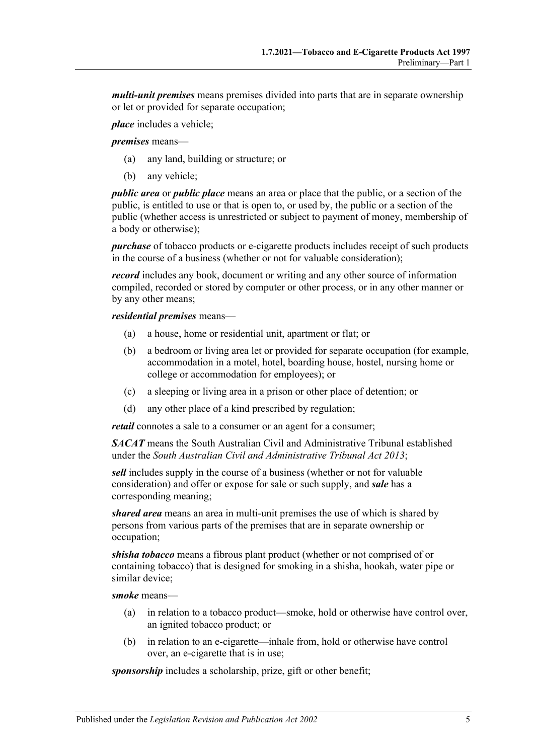*multi-unit premises* means premises divided into parts that are in separate ownership or let or provided for separate occupation;

*place* includes a vehicle;

*premises* means—

- (a) any land, building or structure; or
- (b) any vehicle;

*public area* or *public place* means an area or place that the public, or a section of the public, is entitled to use or that is open to, or used by, the public or a section of the public (whether access is unrestricted or subject to payment of money, membership of a body or otherwise);

*purchase* of tobacco products or e-cigarette products includes receipt of such products in the course of a business (whether or not for valuable consideration);

*record* includes any book, document or writing and any other source of information compiled, recorded or stored by computer or other process, or in any other manner or by any other means;

#### *residential premises* means—

- (a) a house, home or residential unit, apartment or flat; or
- (b) a bedroom or living area let or provided for separate occupation (for example, accommodation in a motel, hotel, boarding house, hostel, nursing home or college or accommodation for employees); or
- (c) a sleeping or living area in a prison or other place of detention; or
- (d) any other place of a kind prescribed by regulation;

*retail* connotes a sale to a consumer or an agent for a consumer;

*SACAT* means the South Australian Civil and Administrative Tribunal established under the *[South Australian Civil and Administrative Tribunal Act](http://www.legislation.sa.gov.au/index.aspx?action=legref&type=act&legtitle=South%20Australian%20Civil%20and%20Administrative%20Tribunal%20Act%202013) 2013*;

*sell* includes supply in the course of a business (whether or not for valuable consideration) and offer or expose for sale or such supply, and *sale* has a corresponding meaning;

*shared area* means an area in multi-unit premises the use of which is shared by persons from various parts of the premises that are in separate ownership or occupation;

*shisha tobacco* means a fibrous plant product (whether or not comprised of or containing tobacco) that is designed for smoking in a shisha, hookah, water pipe or similar device;

*smoke* means—

- (a) in relation to a tobacco product—smoke, hold or otherwise have control over, an ignited tobacco product; or
- (b) in relation to an e-cigarette—inhale from, hold or otherwise have control over, an e-cigarette that is in use;

*sponsorship* includes a scholarship, prize, gift or other benefit;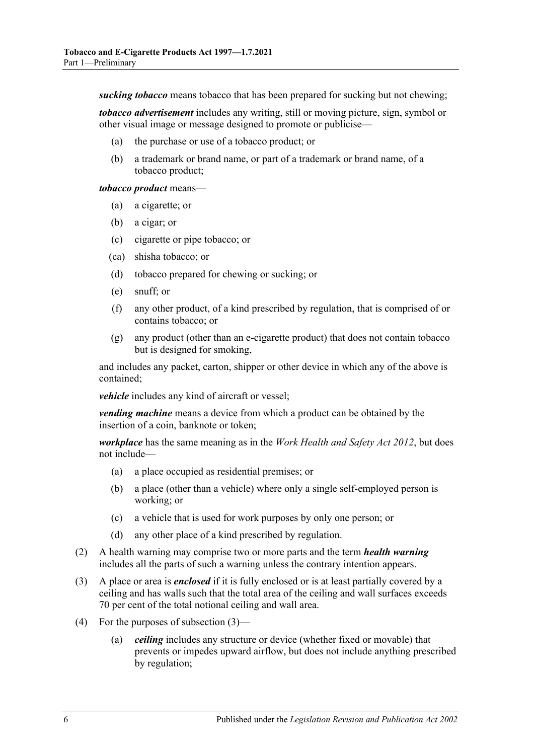*sucking tobacco* means tobacco that has been prepared for sucking but not chewing;

*tobacco advertisement* includes any writing, still or moving picture, sign, symbol or other visual image or message designed to promote or publicise—

- (a) the purchase or use of a tobacco product; or
- (b) a trademark or brand name, or part of a trademark or brand name, of a tobacco product;

#### *tobacco product* means—

- (a) a cigarette; or
- (b) a cigar; or
- (c) cigarette or pipe tobacco; or
- (ca) shisha tobacco; or
- (d) tobacco prepared for chewing or sucking; or
- (e) snuff; or
- (f) any other product, of a kind prescribed by regulation, that is comprised of or contains tobacco; or
- (g) any product (other than an e-cigarette product) that does not contain tobacco but is designed for smoking,

and includes any packet, carton, shipper or other device in which any of the above is contained;

*vehicle* includes any kind of aircraft or vessel;

*vending machine* means a device from which a product can be obtained by the insertion of a coin, banknote or token;

*workplace* has the same meaning as in the *[Work Health and Safety Act](http://www.legislation.sa.gov.au/index.aspx?action=legref&type=act&legtitle=Work%20Health%20and%20Safety%20Act%202012) 2012*, but does not include—

- (a) a place occupied as residential premises; or
- (b) a place (other than a vehicle) where only a single self-employed person is working; or
- (c) a vehicle that is used for work purposes by only one person; or
- (d) any other place of a kind prescribed by regulation.
- (2) A health warning may comprise two or more parts and the term *health warning* includes all the parts of such a warning unless the contrary intention appears.
- <span id="page-5-0"></span>(3) A place or area is *enclosed* if it is fully enclosed or is at least partially covered by a ceiling and has walls such that the total area of the ceiling and wall surfaces exceeds 70 per cent of the total notional ceiling and wall area.
- (4) For the purposes of [subsection](#page-5-0) (3)—
	- (a) *ceiling* includes any structure or device (whether fixed or movable) that prevents or impedes upward airflow, but does not include anything prescribed by regulation;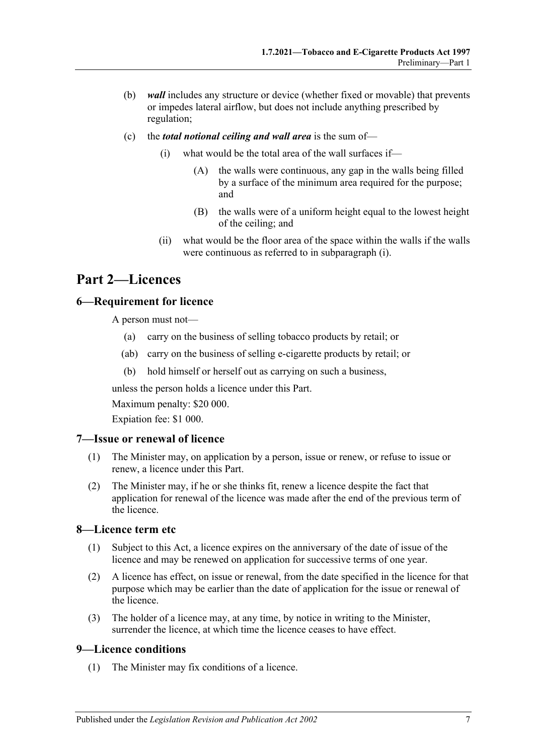- (b) *wall* includes any structure or device (whether fixed or movable) that prevents or impedes lateral airflow, but does not include anything prescribed by regulation;
- <span id="page-6-5"></span>(c) the *total notional ceiling and wall area* is the sum of—
	- (i) what would be the total area of the wall surfaces if—
		- (A) the walls were continuous, any gap in the walls being filled by a surface of the minimum area required for the purpose; and
		- (B) the walls were of a uniform height equal to the lowest height of the ceiling; and
	- (ii) what would be the floor area of the space within the walls if the walls were continuous as referred to in [subparagraph](#page-6-5) (i).

# <span id="page-6-0"></span>**Part 2—Licences**

# <span id="page-6-1"></span>**6—Requirement for licence**

A person must not—

- (a) carry on the business of selling tobacco products by retail; or
- (ab) carry on the business of selling e-cigarette products by retail; or
- (b) hold himself or herself out as carrying on such a business,

unless the person holds a licence under this Part.

Maximum penalty: \$20 000.

Expiation fee: \$1 000.

### <span id="page-6-2"></span>**7—Issue or renewal of licence**

- (1) The Minister may, on application by a person, issue or renew, or refuse to issue or renew, a licence under this Part.
- (2) The Minister may, if he or she thinks fit, renew a licence despite the fact that application for renewal of the licence was made after the end of the previous term of the licence.

### <span id="page-6-3"></span>**8—Licence term etc**

- (1) Subject to this Act, a licence expires on the anniversary of the date of issue of the licence and may be renewed on application for successive terms of one year.
- (2) A licence has effect, on issue or renewal, from the date specified in the licence for that purpose which may be earlier than the date of application for the issue or renewal of the licence.
- (3) The holder of a licence may, at any time, by notice in writing to the Minister, surrender the licence, at which time the licence ceases to have effect.

### <span id="page-6-6"></span><span id="page-6-4"></span>**9—Licence conditions**

(1) The Minister may fix conditions of a licence.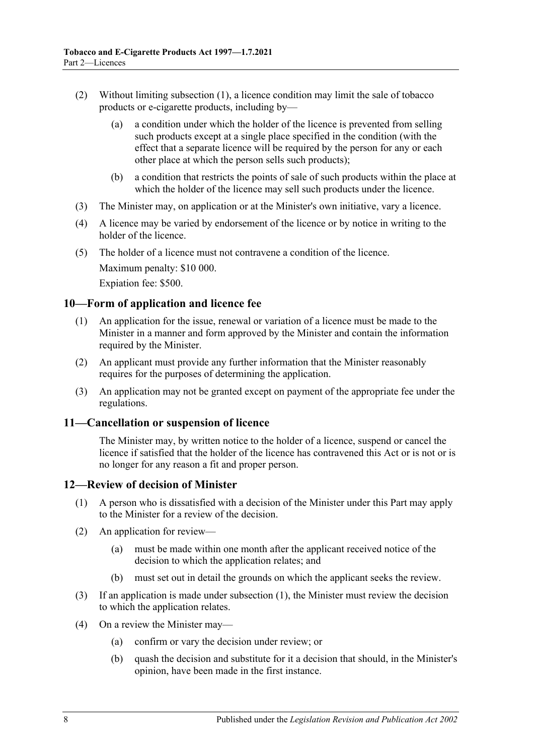- (2) Without limiting [subsection](#page-6-6) (1), a licence condition may limit the sale of tobacco products or e-cigarette products, including by—
	- (a) a condition under which the holder of the licence is prevented from selling such products except at a single place specified in the condition (with the effect that a separate licence will be required by the person for any or each other place at which the person sells such products);
	- (b) a condition that restricts the points of sale of such products within the place at which the holder of the licence may sell such products under the licence.
- (3) The Minister may, on application or at the Minister's own initiative, vary a licence.
- (4) A licence may be varied by endorsement of the licence or by notice in writing to the holder of the licence.
- (5) The holder of a licence must not contravene a condition of the licence. Maximum penalty: \$10 000. Expiation fee: \$500.

# <span id="page-7-0"></span>**10—Form of application and licence fee**

- (1) An application for the issue, renewal or variation of a licence must be made to the Minister in a manner and form approved by the Minister and contain the information required by the Minister.
- (2) An applicant must provide any further information that the Minister reasonably requires for the purposes of determining the application.
- (3) An application may not be granted except on payment of the appropriate fee under the regulations.

### <span id="page-7-1"></span>**11—Cancellation or suspension of licence**

The Minister may, by written notice to the holder of a licence, suspend or cancel the licence if satisfied that the holder of the licence has contravened this Act or is not or is no longer for any reason a fit and proper person.

# <span id="page-7-3"></span><span id="page-7-2"></span>**12—Review of decision of Minister**

- (1) A person who is dissatisfied with a decision of the Minister under this Part may apply to the Minister for a review of the decision.
- (2) An application for review—
	- (a) must be made within one month after the applicant received notice of the decision to which the application relates; and
	- (b) must set out in detail the grounds on which the applicant seeks the review.
- (3) If an application is made under [subsection](#page-7-3) (1), the Minister must review the decision to which the application relates.
- (4) On a review the Minister may—
	- (a) confirm or vary the decision under review; or
	- (b) quash the decision and substitute for it a decision that should, in the Minister's opinion, have been made in the first instance.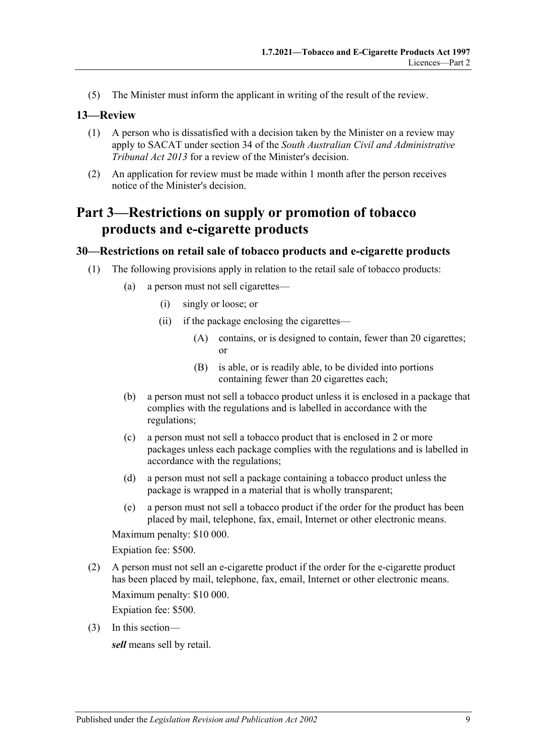(5) The Minister must inform the applicant in writing of the result of the review.

### <span id="page-8-0"></span>**13—Review**

- (1) A person who is dissatisfied with a decision taken by the Minister on a review may apply to SACAT under section 34 of the *[South Australian Civil and Administrative](http://www.legislation.sa.gov.au/index.aspx?action=legref&type=act&legtitle=South%20Australian%20Civil%20and%20Administrative%20Tribunal%20Act%202013)  [Tribunal Act](http://www.legislation.sa.gov.au/index.aspx?action=legref&type=act&legtitle=South%20Australian%20Civil%20and%20Administrative%20Tribunal%20Act%202013) 2013* for a review of the Minister's decision.
- (2) An application for review must be made within 1 month after the person receives notice of the Minister's decision.

# <span id="page-8-1"></span>**Part 3—Restrictions on supply or promotion of tobacco products and e-cigarette products**

### <span id="page-8-2"></span>**30—Restrictions on retail sale of tobacco products and e-cigarette products**

- (1) The following provisions apply in relation to the retail sale of tobacco products:
	- (a) a person must not sell cigarettes—
		- (i) singly or loose; or
		- (ii) if the package enclosing the cigarettes—
			- (A) contains, or is designed to contain, fewer than 20 cigarettes; or
			- (B) is able, or is readily able, to be divided into portions containing fewer than 20 cigarettes each;
	- (b) a person must not sell a tobacco product unless it is enclosed in a package that complies with the regulations and is labelled in accordance with the regulations;
	- (c) a person must not sell a tobacco product that is enclosed in 2 or more packages unless each package complies with the regulations and is labelled in accordance with the regulations;
	- (d) a person must not sell a package containing a tobacco product unless the package is wrapped in a material that is wholly transparent;
	- (e) a person must not sell a tobacco product if the order for the product has been placed by mail, telephone, fax, email, Internet or other electronic means.

Maximum penalty: \$10 000.

Expiation fee: \$500.

(2) A person must not sell an e-cigarette product if the order for the e-cigarette product has been placed by mail, telephone, fax, email, Internet or other electronic means. Maximum penalty: \$10 000.

Expiation fee: \$500.

(3) In this section—

*sell* means sell by retail.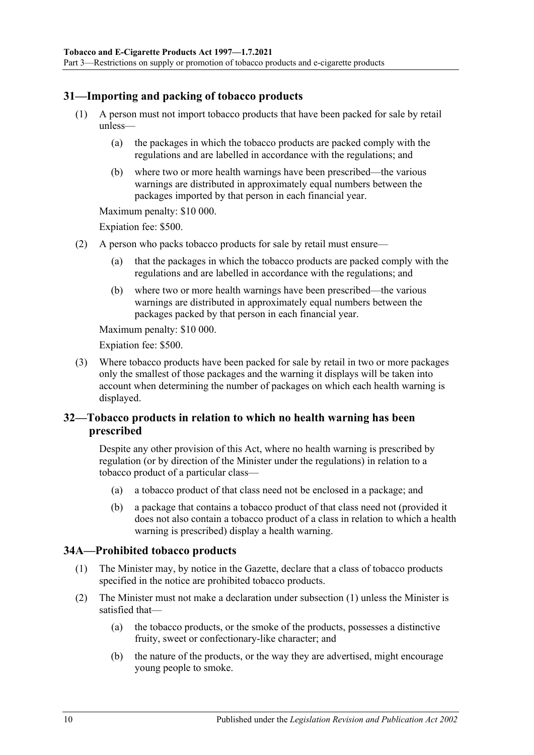# <span id="page-9-0"></span>**31—Importing and packing of tobacco products**

- (1) A person must not import tobacco products that have been packed for sale by retail unless—
	- (a) the packages in which the tobacco products are packed comply with the regulations and are labelled in accordance with the regulations; and
	- (b) where two or more health warnings have been prescribed—the various warnings are distributed in approximately equal numbers between the packages imported by that person in each financial year.

Maximum penalty: \$10 000.

Expiation fee: \$500.

- (2) A person who packs tobacco products for sale by retail must ensure—
	- (a) that the packages in which the tobacco products are packed comply with the regulations and are labelled in accordance with the regulations; and
	- (b) where two or more health warnings have been prescribed—the various warnings are distributed in approximately equal numbers between the packages packed by that person in each financial year.

Maximum penalty: \$10 000.

Expiation fee: \$500.

(3) Where tobacco products have been packed for sale by retail in two or more packages only the smallest of those packages and the warning it displays will be taken into account when determining the number of packages on which each health warning is displayed.

# <span id="page-9-1"></span>**32—Tobacco products in relation to which no health warning has been prescribed**

Despite any other provision of this Act, where no health warning is prescribed by regulation (or by direction of the Minister under the regulations) in relation to a tobacco product of a particular class—

- (a) a tobacco product of that class need not be enclosed in a package; and
- (b) a package that contains a tobacco product of that class need not (provided it does not also contain a tobacco product of a class in relation to which a health warning is prescribed) display a health warning.

### <span id="page-9-3"></span><span id="page-9-2"></span>**34A—Prohibited tobacco products**

- (1) The Minister may, by notice in the Gazette, declare that a class of tobacco products specified in the notice are prohibited tobacco products.
- (2) The Minister must not make a declaration under [subsection](#page-9-3) (1) unless the Minister is satisfied that—
	- (a) the tobacco products, or the smoke of the products, possesses a distinctive fruity, sweet or confectionary-like character; and
	- (b) the nature of the products, or the way they are advertised, might encourage young people to smoke.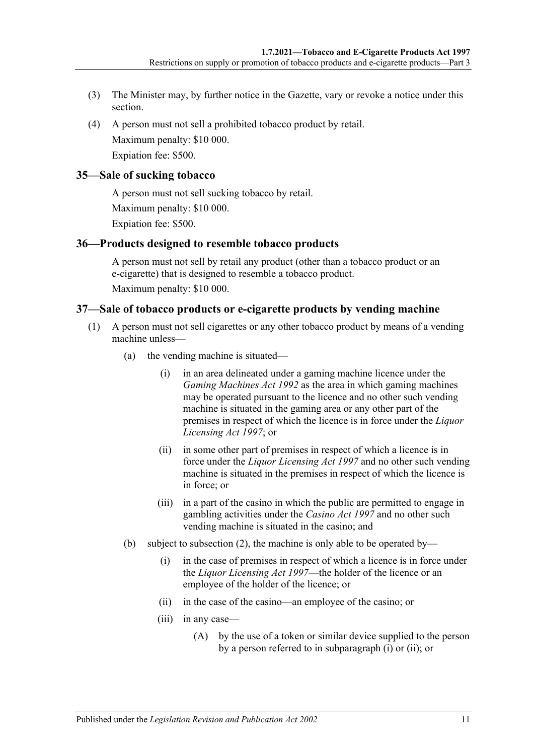- (3) The Minister may, by further notice in the Gazette, vary or revoke a notice under this section.
- (4) A person must not sell a prohibited tobacco product by retail. Maximum penalty: \$10 000. Expiation fee: \$500.

# <span id="page-10-0"></span>**35—Sale of sucking tobacco**

A person must not sell sucking tobacco by retail. Maximum penalty: \$10 000. Expiation fee: \$500.

# <span id="page-10-1"></span>**36—Products designed to resemble tobacco products**

A person must not sell by retail any product (other than a tobacco product or an e-cigarette) that is designed to resemble a tobacco product. Maximum penalty: \$10 000.

# <span id="page-10-2"></span>**37—Sale of tobacco products or e-cigarette products by vending machine**

- <span id="page-10-4"></span><span id="page-10-3"></span>(1) A person must not sell cigarettes or any other tobacco product by means of a vending machine unless—
	- (a) the vending machine is situated—
		- (i) in an area delineated under a gaming machine licence under the *[Gaming Machines Act](http://www.legislation.sa.gov.au/index.aspx?action=legref&type=act&legtitle=Gaming%20Machines%20Act%201992) 1992* as the area in which gaming machines may be operated pursuant to the licence and no other such vending machine is situated in the gaming area or any other part of the premises in respect of which the licence is in force under the *[Liquor](http://www.legislation.sa.gov.au/index.aspx?action=legref&type=act&legtitle=Liquor%20Licensing%20Act%201997)  [Licensing Act](http://www.legislation.sa.gov.au/index.aspx?action=legref&type=act&legtitle=Liquor%20Licensing%20Act%201997) 1997*; or
		- (ii) in some other part of premises in respect of which a licence is in force under the *[Liquor Licensing Act](http://www.legislation.sa.gov.au/index.aspx?action=legref&type=act&legtitle=Liquor%20Licensing%20Act%201997) 1997* and no other such vending machine is situated in the premises in respect of which the licence is in force; or
		- (iii) in a part of the casino in which the public are permitted to engage in gambling activities under the *[Casino Act](http://www.legislation.sa.gov.au/index.aspx?action=legref&type=act&legtitle=Casino%20Act%201997) 1997* and no other such vending machine is situated in the casino; and
	- (b) subject to subsection (2), the machine is only able to be operated by—
		- (i) in the case of premises in respect of which a licence is in force under the *[Liquor Licensing Act](http://www.legislation.sa.gov.au/index.aspx?action=legref&type=act&legtitle=Liquor%20Licensing%20Act%201997) 1997*—the holder of the licence or an employee of the holder of the licence; or
		- (ii) in the case of the casino—an employee of the casino; or
		- (iii) in any case—
			- (A) by the use of a token or similar device supplied to the person by a person referred to in [subparagraph](#page-10-3) (i) or [\(ii\);](#page-10-4) or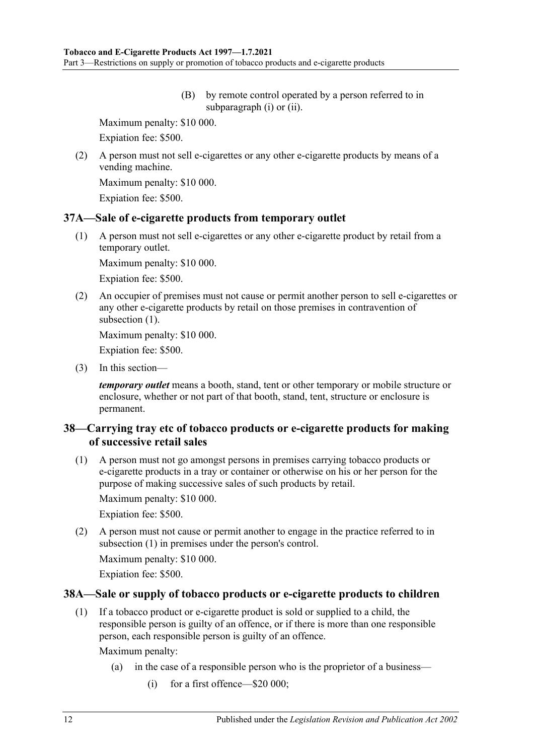(B) by remote control operated by a person referred to in [subparagraph](#page-10-3) (i) or [\(ii\).](#page-10-4)

Maximum penalty: \$10 000.

Expiation fee: \$500.

(2) A person must not sell e-cigarettes or any other e-cigarette products by means of a vending machine.

Maximum penalty: \$10 000.

Expiation fee: \$500.

# <span id="page-11-3"></span><span id="page-11-0"></span>**37A—Sale of e-cigarette products from temporary outlet**

(1) A person must not sell e-cigarettes or any other e-cigarette product by retail from a temporary outlet.

Maximum penalty: \$10 000.

Expiation fee: \$500.

(2) An occupier of premises must not cause or permit another person to sell e-cigarettes or any other e-cigarette products by retail on those premises in contravention of [subsection](#page-11-3)  $(1)$ .

Maximum penalty: \$10 000.

Expiation fee: \$500.

(3) In this section—

*temporary outlet* means a booth, stand, tent or other temporary or mobile structure or enclosure, whether or not part of that booth, stand, tent, structure or enclosure is permanent.

# <span id="page-11-1"></span>**38—Carrying tray etc of tobacco products or e-cigarette products for making of successive retail sales**

<span id="page-11-4"></span>(1) A person must not go amongst persons in premises carrying tobacco products or e-cigarette products in a tray or container or otherwise on his or her person for the purpose of making successive sales of such products by retail.

Maximum penalty: \$10 000.

Expiation fee: \$500.

(2) A person must not cause or permit another to engage in the practice referred to in [subsection](#page-11-4) (1) in premises under the person's control.

Maximum penalty: \$10 000.

Expiation fee: \$500.

# <span id="page-11-5"></span><span id="page-11-2"></span>**38A—Sale or supply of tobacco products or e-cigarette products to children**

(1) If a tobacco product or e-cigarette product is sold or supplied to a child, the responsible person is guilty of an offence, or if there is more than one responsible person, each responsible person is guilty of an offence.

Maximum penalty:

- (a) in the case of a responsible person who is the proprietor of a business—
	- (i) for a first offence—\$20 000;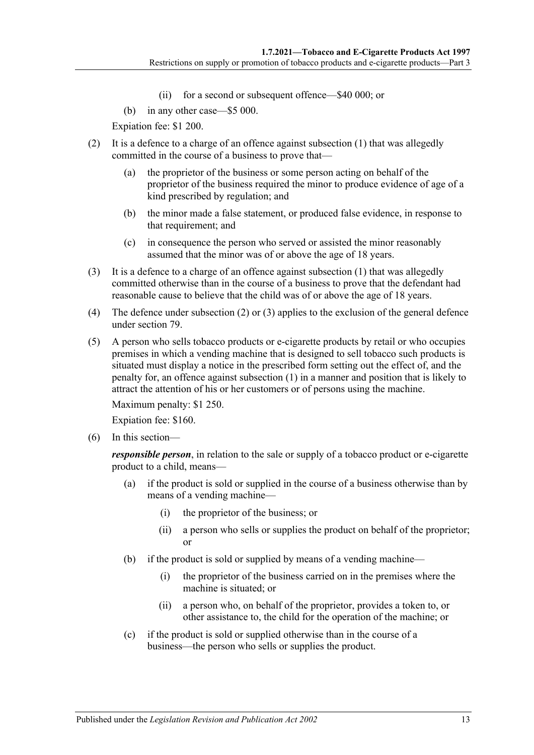- (ii) for a second or subsequent offence—\$40 000; or
- (b) in any other case—\$5 000.

Expiation fee: \$1 200.

- <span id="page-12-0"></span>(2) It is a defence to a charge of an offence against [subsection](#page-11-5) (1) that was allegedly committed in the course of a business to prove that—
	- (a) the proprietor of the business or some person acting on behalf of the proprietor of the business required the minor to produce evidence of age of a kind prescribed by regulation; and
	- (b) the minor made a false statement, or produced false evidence, in response to that requirement; and
	- (c) in consequence the person who served or assisted the minor reasonably assumed that the minor was of or above the age of 18 years.
- <span id="page-12-1"></span>(3) It is a defence to a charge of an offence against [subsection](#page-11-5)  $(1)$  that was allegedly committed otherwise than in the course of a business to prove that the defendant had reasonable cause to believe that the child was of or above the age of 18 years.
- (4) The defence under [subsection](#page-12-0) (2) or [\(3\)](#page-12-1) applies to the exclusion of the general defence under [section](#page-24-0) 79.
- (5) A person who sells tobacco products or e-cigarette products by retail or who occupies premises in which a vending machine that is designed to sell tobacco such products is situated must display a notice in the prescribed form setting out the effect of, and the penalty for, an offence against [subsection](#page-11-5) (1) in a manner and position that is likely to attract the attention of his or her customers or of persons using the machine.

Maximum penalty: \$1 250.

Expiation fee: \$160.

(6) In this section—

*responsible person*, in relation to the sale or supply of a tobacco product or e-cigarette product to a child, means—

- (a) if the product is sold or supplied in the course of a business otherwise than by means of a vending machine—
	- (i) the proprietor of the business; or
	- (ii) a person who sells or supplies the product on behalf of the proprietor; or
- (b) if the product is sold or supplied by means of a vending machine—
	- (i) the proprietor of the business carried on in the premises where the machine is situated; or
	- (ii) a person who, on behalf of the proprietor, provides a token to, or other assistance to, the child for the operation of the machine; or
- (c) if the product is sold or supplied otherwise than in the course of a business—the person who sells or supplies the product.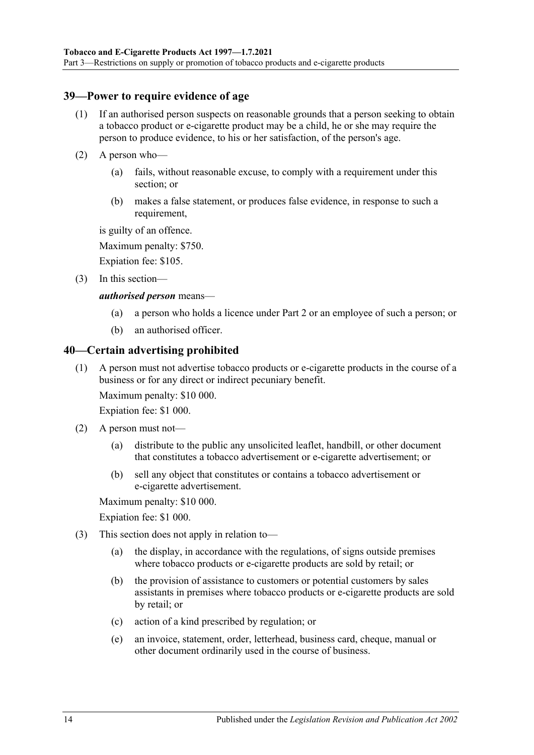# <span id="page-13-0"></span>**39—Power to require evidence of age**

- (1) If an authorised person suspects on reasonable grounds that a person seeking to obtain a tobacco product or e-cigarette product may be a child, he or she may require the person to produce evidence, to his or her satisfaction, of the person's age.
- (2) A person who—
	- (a) fails, without reasonable excuse, to comply with a requirement under this section; or
	- (b) makes a false statement, or produces false evidence, in response to such a requirement,

is guilty of an offence.

Maximum penalty: \$750.

Expiation fee: \$105.

(3) In this section—

### *authorised person* means—

- (a) a person who holds a licence under [Part 2](#page-6-0) or an employee of such a person; or
- (b) an authorised officer.

# <span id="page-13-1"></span>**40—Certain advertising prohibited**

(1) A person must not advertise tobacco products or e-cigarette products in the course of a business or for any direct or indirect pecuniary benefit.

Maximum penalty: \$10 000.

Expiation fee: \$1 000.

- (2) A person must not—
	- (a) distribute to the public any unsolicited leaflet, handbill, or other document that constitutes a tobacco advertisement or e-cigarette advertisement; or
	- (b) sell any object that constitutes or contains a tobacco advertisement or e-cigarette advertisement.

Maximum penalty: \$10 000.

Expiation fee: \$1 000.

- (3) This section does not apply in relation to—
	- (a) the display, in accordance with the regulations, of signs outside premises where tobacco products or e-cigarette products are sold by retail; or
	- (b) the provision of assistance to customers or potential customers by sales assistants in premises where tobacco products or e-cigarette products are sold by retail; or
	- (c) action of a kind prescribed by regulation; or
	- (e) an invoice, statement, order, letterhead, business card, cheque, manual or other document ordinarily used in the course of business.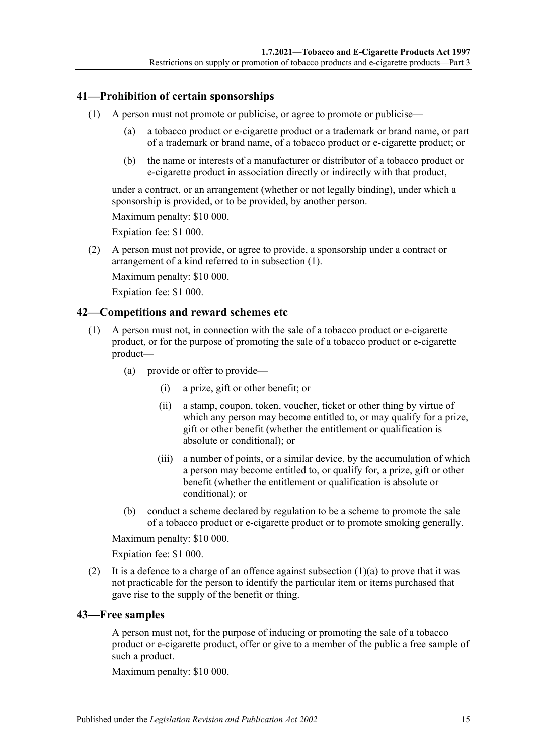# <span id="page-14-3"></span><span id="page-14-0"></span>**41—Prohibition of certain sponsorships**

- (1) A person must not promote or publicise, or agree to promote or publicise—
	- (a) a tobacco product or e-cigarette product or a trademark or brand name, or part of a trademark or brand name, of a tobacco product or e-cigarette product; or
	- (b) the name or interests of a manufacturer or distributor of a tobacco product or e-cigarette product in association directly or indirectly with that product,

under a contract, or an arrangement (whether or not legally binding), under which a sponsorship is provided, or to be provided, by another person.

Maximum penalty: \$10 000.

Expiation fee: \$1 000.

(2) A person must not provide, or agree to provide, a sponsorship under a contract or arrangement of a kind referred to in [subsection](#page-14-3) (1).

Maximum penalty: \$10 000.

Expiation fee: \$1 000.

### <span id="page-14-1"></span>**42—Competitions and reward schemes etc**

- <span id="page-14-4"></span>(1) A person must not, in connection with the sale of a tobacco product or e-cigarette product, or for the purpose of promoting the sale of a tobacco product or e-cigarette product—
	- (a) provide or offer to provide—
		- (i) a prize, gift or other benefit; or
		- (ii) a stamp, coupon, token, voucher, ticket or other thing by virtue of which any person may become entitled to, or may qualify for a prize, gift or other benefit (whether the entitlement or qualification is absolute or conditional); or
		- (iii) a number of points, or a similar device, by the accumulation of which a person may become entitled to, or qualify for, a prize, gift or other benefit (whether the entitlement or qualification is absolute or conditional); or
	- (b) conduct a scheme declared by regulation to be a scheme to promote the sale of a tobacco product or e-cigarette product or to promote smoking generally.

Maximum penalty: \$10 000.

Expiation fee: \$1 000.

(2) It is a defence to a charge of an offence against [subsection](#page-14-4)  $(1)(a)$  to prove that it was not practicable for the person to identify the particular item or items purchased that gave rise to the supply of the benefit or thing.

### <span id="page-14-2"></span>**43—Free samples**

A person must not, for the purpose of inducing or promoting the sale of a tobacco product or e-cigarette product, offer or give to a member of the public a free sample of such a product.

Maximum penalty: \$10 000.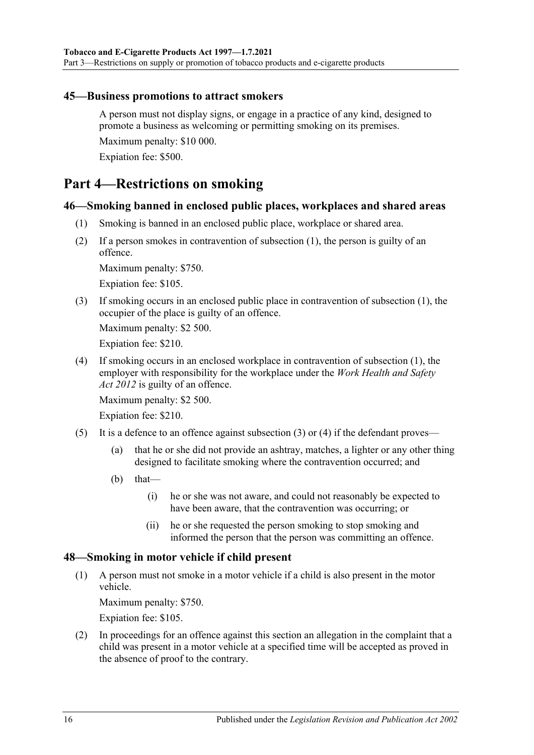# <span id="page-15-0"></span>**45—Business promotions to attract smokers**

A person must not display signs, or engage in a practice of any kind, designed to promote a business as welcoming or permitting smoking on its premises. Maximum penalty: \$10 000. Expiation fee: \$500.

# <span id="page-15-1"></span>**Part 4—Restrictions on smoking**

### <span id="page-15-4"></span><span id="page-15-2"></span>**46—Smoking banned in enclosed public places, workplaces and shared areas**

- (1) Smoking is banned in an enclosed public place, workplace or shared area.
- (2) If a person smokes in contravention of [subsection](#page-15-4) (1), the person is guilty of an offence.

Maximum penalty: \$750.

Expiation fee: \$105.

<span id="page-15-5"></span>(3) If smoking occurs in an enclosed public place in contravention of [subsection](#page-15-4) (1), the occupier of the place is guilty of an offence.

Maximum penalty: \$2 500.

Expiation fee: \$210.

<span id="page-15-6"></span>(4) If smoking occurs in an enclosed workplace in contravention of [subsection](#page-15-4) (1), the employer with responsibility for the workplace under the *[Work Health and Safety](http://www.legislation.sa.gov.au/index.aspx?action=legref&type=act&legtitle=Work%20Health%20and%20Safety%20Act%202012)  Act [2012](http://www.legislation.sa.gov.au/index.aspx?action=legref&type=act&legtitle=Work%20Health%20and%20Safety%20Act%202012)* is guilty of an offence.

Maximum penalty: \$2 500.

Expiation fee: \$210.

- (5) It is a defence to an offence against [subsection](#page-15-5) (3) or [\(4\)](#page-15-6) if the defendant proves—
	- (a) that he or she did not provide an ashtray, matches, a lighter or any other thing designed to facilitate smoking where the contravention occurred; and
	- $(b)$  that—
		- (i) he or she was not aware, and could not reasonably be expected to have been aware, that the contravention was occurring; or
		- (ii) he or she requested the person smoking to stop smoking and informed the person that the person was committing an offence.

### <span id="page-15-3"></span>**48—Smoking in motor vehicle if child present**

(1) A person must not smoke in a motor vehicle if a child is also present in the motor vehicle.

Maximum penalty: \$750.

Expiation fee: \$105.

(2) In proceedings for an offence against this section an allegation in the complaint that a child was present in a motor vehicle at a specified time will be accepted as proved in the absence of proof to the contrary.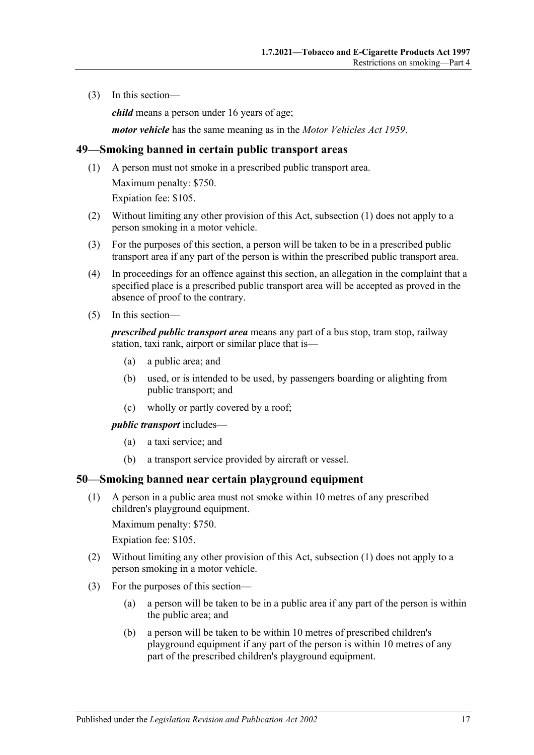(3) In this section—

*child* means a person under 16 years of age;

*motor vehicle* has the same meaning as in the *[Motor Vehicles Act](http://www.legislation.sa.gov.au/index.aspx?action=legref&type=act&legtitle=Motor%20Vehicles%20Act%201959) 1959*.

### <span id="page-16-2"></span><span id="page-16-0"></span>**49—Smoking banned in certain public transport areas**

- (1) A person must not smoke in a prescribed public transport area. Maximum penalty: \$750. Expiation fee: \$105.
- (2) Without limiting any other provision of this Act, [subsection](#page-16-2) (1) does not apply to a person smoking in a motor vehicle.
- (3) For the purposes of this section, a person will be taken to be in a prescribed public transport area if any part of the person is within the prescribed public transport area.
- (4) In proceedings for an offence against this section, an allegation in the complaint that a specified place is a prescribed public transport area will be accepted as proved in the absence of proof to the contrary.
- (5) In this section—

*prescribed public transport area* means any part of a bus stop, tram stop, railway station, taxi rank, airport or similar place that is—

- (a) a public area; and
- (b) used, or is intended to be used, by passengers boarding or alighting from public transport; and
- (c) wholly or partly covered by a roof;

*public transport* includes—

- (a) a taxi service; and
- (b) a transport service provided by aircraft or vessel.

### <span id="page-16-3"></span><span id="page-16-1"></span>**50—Smoking banned near certain playground equipment**

(1) A person in a public area must not smoke within 10 metres of any prescribed children's playground equipment.

Maximum penalty: \$750.

Expiation fee: \$105.

- (2) Without limiting any other provision of this Act, [subsection](#page-16-3) (1) does not apply to a person smoking in a motor vehicle.
- (3) For the purposes of this section—
	- (a) a person will be taken to be in a public area if any part of the person is within the public area; and
	- (b) a person will be taken to be within 10 metres of prescribed children's playground equipment if any part of the person is within 10 metres of any part of the prescribed children's playground equipment.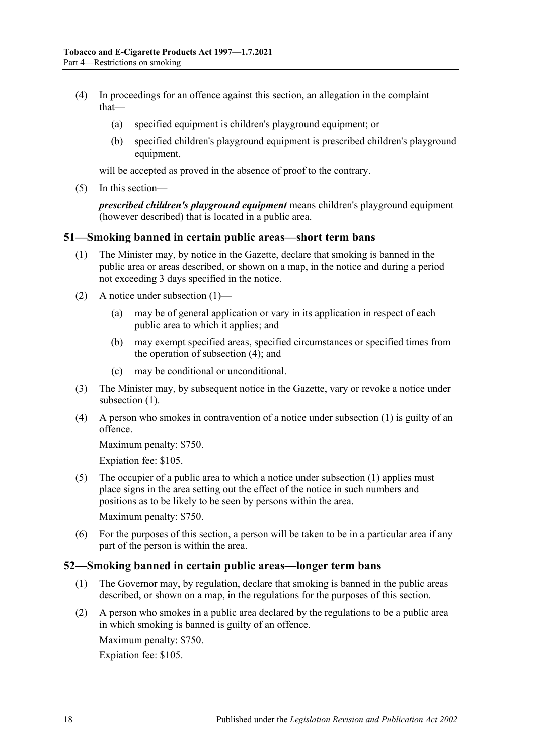- (4) In proceedings for an offence against this section, an allegation in the complaint that—
	- (a) specified equipment is children's playground equipment; or
	- (b) specified children's playground equipment is prescribed children's playground equipment,

will be accepted as proved in the absence of proof to the contrary.

(5) In this section—

*prescribed children's playground equipment* means children's playground equipment (however described) that is located in a public area.

### <span id="page-17-2"></span><span id="page-17-0"></span>**51—Smoking banned in certain public areas—short term bans**

- (1) The Minister may, by notice in the Gazette, declare that smoking is banned in the public area or areas described, or shown on a map, in the notice and during a period not exceeding 3 days specified in the notice.
- (2) A notice under [subsection](#page-17-2) (1)—
	- (a) may be of general application or vary in its application in respect of each public area to which it applies; and
	- (b) may exempt specified areas, specified circumstances or specified times from the operation of [subsection](#page-17-3) (4); and
	- (c) may be conditional or unconditional.
- (3) The Minister may, by subsequent notice in the Gazette, vary or revoke a notice under [subsection](#page-17-2) (1).
- <span id="page-17-3"></span>(4) A person who smokes in contravention of a notice under [subsection](#page-17-2) (1) is guilty of an offence.

Maximum penalty: \$750.

Expiation fee: \$105.

(5) The occupier of a public area to which a notice under [subsection](#page-17-2) (1) applies must place signs in the area setting out the effect of the notice in such numbers and positions as to be likely to be seen by persons within the area.

Maximum penalty: \$750.

(6) For the purposes of this section, a person will be taken to be in a particular area if any part of the person is within the area.

### <span id="page-17-1"></span>**52—Smoking banned in certain public areas—longer term bans**

- (1) The Governor may, by regulation, declare that smoking is banned in the public areas described, or shown on a map, in the regulations for the purposes of this section.
- <span id="page-17-4"></span>(2) A person who smokes in a public area declared by the regulations to be a public area in which smoking is banned is guilty of an offence.

Maximum penalty: \$750.

Expiation fee: \$105.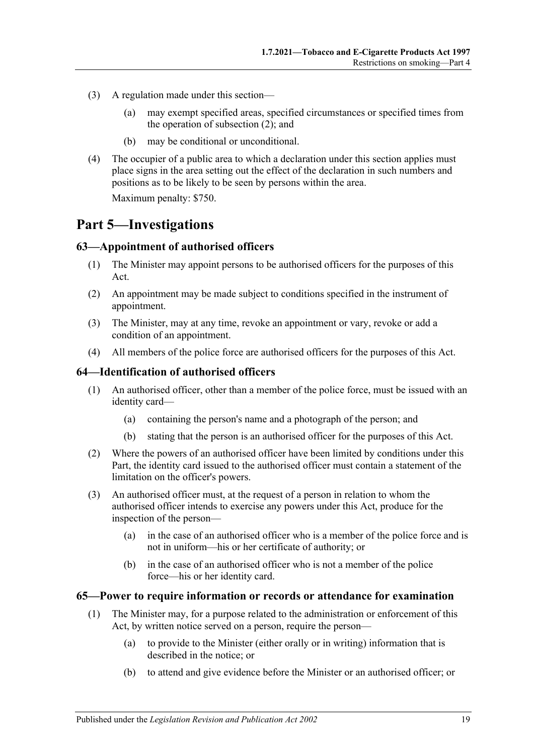- (3) A regulation made under this section—
	- (a) may exempt specified areas, specified circumstances or specified times from the operation of [subsection](#page-17-4)  $(2)$ ; and
	- (b) may be conditional or unconditional.
- (4) The occupier of a public area to which a declaration under this section applies must place signs in the area setting out the effect of the declaration in such numbers and positions as to be likely to be seen by persons within the area. Maximum penalty: \$750.

# <span id="page-18-0"></span>**Part 5—Investigations**

# <span id="page-18-1"></span>**63—Appointment of authorised officers**

- (1) The Minister may appoint persons to be authorised officers for the purposes of this Act.
- (2) An appointment may be made subject to conditions specified in the instrument of appointment.
- (3) The Minister, may at any time, revoke an appointment or vary, revoke or add a condition of an appointment.
- (4) All members of the police force are authorised officers for the purposes of this Act.

### <span id="page-18-2"></span>**64—Identification of authorised officers**

- (1) An authorised officer, other than a member of the police force, must be issued with an identity card—
	- (a) containing the person's name and a photograph of the person; and
	- (b) stating that the person is an authorised officer for the purposes of this Act.
- (2) Where the powers of an authorised officer have been limited by conditions under this Part, the identity card issued to the authorised officer must contain a statement of the limitation on the officer's powers.
- (3) An authorised officer must, at the request of a person in relation to whom the authorised officer intends to exercise any powers under this Act, produce for the inspection of the person—
	- (a) in the case of an authorised officer who is a member of the police force and is not in uniform—his or her certificate of authority; or
	- (b) in the case of an authorised officer who is not a member of the police force—his or her identity card.

### <span id="page-18-3"></span>**65—Power to require information or records or attendance for examination**

- (1) The Minister may, for a purpose related to the administration or enforcement of this Act, by written notice served on a person, require the person—
	- (a) to provide to the Minister (either orally or in writing) information that is described in the notice; or
	- (b) to attend and give evidence before the Minister or an authorised officer; or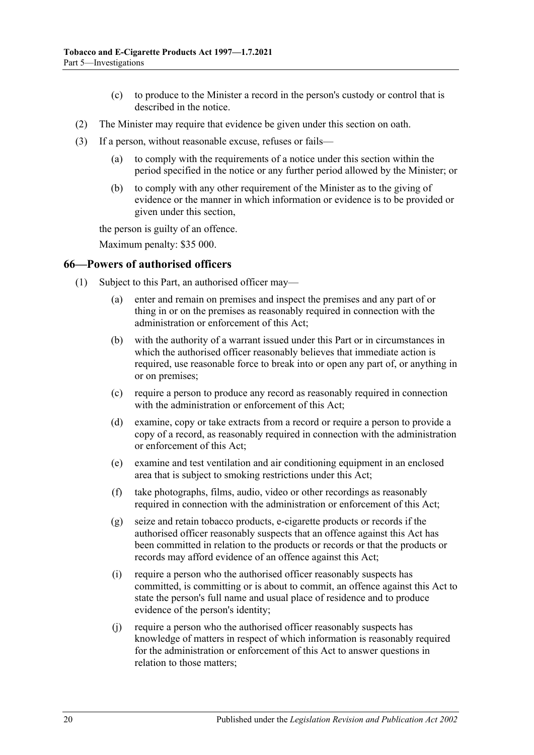- (c) to produce to the Minister a record in the person's custody or control that is described in the notice.
- (2) The Minister may require that evidence be given under this section on oath.
- (3) If a person, without reasonable excuse, refuses or fails—
	- (a) to comply with the requirements of a notice under this section within the period specified in the notice or any further period allowed by the Minister; or
	- (b) to comply with any other requirement of the Minister as to the giving of evidence or the manner in which information or evidence is to be provided or given under this section,

the person is guilty of an offence.

Maximum penalty: \$35 000.

#### <span id="page-19-1"></span><span id="page-19-0"></span>**66—Powers of authorised officers**

- (1) Subject to this Part, an authorised officer may—
	- (a) enter and remain on premises and inspect the premises and any part of or thing in or on the premises as reasonably required in connection with the administration or enforcement of this Act;
	- (b) with the authority of a warrant issued under this Part or in circumstances in which the authorised officer reasonably believes that immediate action is required, use reasonable force to break into or open any part of, or anything in or on premises;
	- (c) require a person to produce any record as reasonably required in connection with the administration or enforcement of this Act:
	- (d) examine, copy or take extracts from a record or require a person to provide a copy of a record, as reasonably required in connection with the administration or enforcement of this Act;
	- (e) examine and test ventilation and air conditioning equipment in an enclosed area that is subject to smoking restrictions under this Act;
	- (f) take photographs, films, audio, video or other recordings as reasonably required in connection with the administration or enforcement of this Act;
	- (g) seize and retain tobacco products, e-cigarette products or records if the authorised officer reasonably suspects that an offence against this Act has been committed in relation to the products or records or that the products or records may afford evidence of an offence against this Act;
	- (i) require a person who the authorised officer reasonably suspects has committed, is committing or is about to commit, an offence against this Act to state the person's full name and usual place of residence and to produce evidence of the person's identity;
	- (j) require a person who the authorised officer reasonably suspects has knowledge of matters in respect of which information is reasonably required for the administration or enforcement of this Act to answer questions in relation to those matters;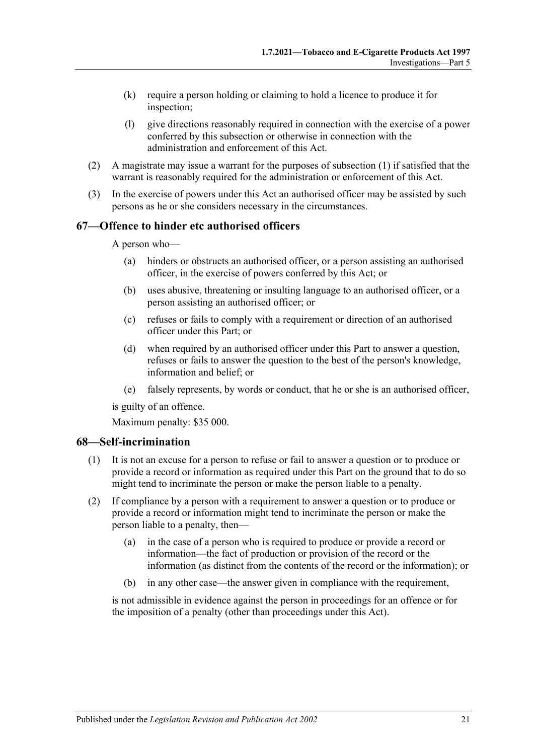- (k) require a person holding or claiming to hold a licence to produce it for inspection;
- (l) give directions reasonably required in connection with the exercise of a power conferred by this subsection or otherwise in connection with the administration and enforcement of this Act.
- (2) A magistrate may issue a warrant for the purposes of [subsection](#page-19-1) (1) if satisfied that the warrant is reasonably required for the administration or enforcement of this Act.
- (3) In the exercise of powers under this Act an authorised officer may be assisted by such persons as he or she considers necessary in the circumstances.

# <span id="page-20-0"></span>**67—Offence to hinder etc authorised officers**

A person who—

- (a) hinders or obstructs an authorised officer, or a person assisting an authorised officer, in the exercise of powers conferred by this Act; or
- (b) uses abusive, threatening or insulting language to an authorised officer, or a person assisting an authorised officer; or
- (c) refuses or fails to comply with a requirement or direction of an authorised officer under this Part; or
- (d) when required by an authorised officer under this Part to answer a question, refuses or fails to answer the question to the best of the person's knowledge, information and belief; or
- (e) falsely represents, by words or conduct, that he or she is an authorised officer,

is guilty of an offence.

Maximum penalty: \$35 000.

# <span id="page-20-1"></span>**68—Self-incrimination**

- (1) It is not an excuse for a person to refuse or fail to answer a question or to produce or provide a record or information as required under this Part on the ground that to do so might tend to incriminate the person or make the person liable to a penalty.
- (2) If compliance by a person with a requirement to answer a question or to produce or provide a record or information might tend to incriminate the person or make the person liable to a penalty, then—
	- (a) in the case of a person who is required to produce or provide a record or information—the fact of production or provision of the record or the information (as distinct from the contents of the record or the information); or
	- (b) in any other case—the answer given in compliance with the requirement,

is not admissible in evidence against the person in proceedings for an offence or for the imposition of a penalty (other than proceedings under this Act).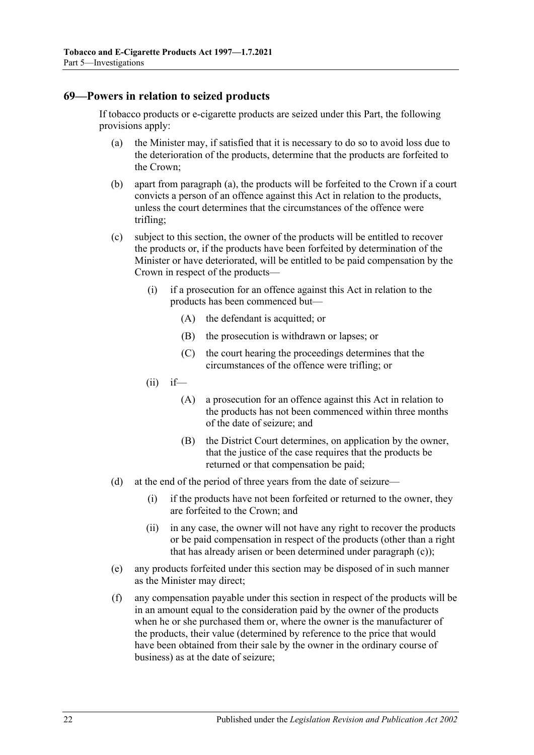### <span id="page-21-1"></span><span id="page-21-0"></span>**69—Powers in relation to seized products**

If tobacco products or e-cigarette products are seized under this Part, the following provisions apply:

- (a) the Minister may, if satisfied that it is necessary to do so to avoid loss due to the deterioration of the products, determine that the products are forfeited to the Crown;
- (b) apart from [paragraph](#page-21-1) (a), the products will be forfeited to the Crown if a court convicts a person of an offence against this Act in relation to the products, unless the court determines that the circumstances of the offence were trifling;
- <span id="page-21-2"></span>(c) subject to this section, the owner of the products will be entitled to recover the products or, if the products have been forfeited by determination of the Minister or have deteriorated, will be entitled to be paid compensation by the Crown in respect of the products—
	- (i) if a prosecution for an offence against this Act in relation to the products has been commenced but—
		- (A) the defendant is acquitted; or
		- (B) the prosecution is withdrawn or lapses; or
		- (C) the court hearing the proceedings determines that the circumstances of the offence were trifling; or
	- $(ii)$  if—
		- (A) a prosecution for an offence against this Act in relation to the products has not been commenced within three months of the date of seizure; and
		- (B) the District Court determines, on application by the owner, that the justice of the case requires that the products be returned or that compensation be paid;
- (d) at the end of the period of three years from the date of seizure—
	- (i) if the products have not been forfeited or returned to the owner, they are forfeited to the Crown; and
	- (ii) in any case, the owner will not have any right to recover the products or be paid compensation in respect of the products (other than a right that has already arisen or been determined under [paragraph](#page-21-2) (c));
- (e) any products forfeited under this section may be disposed of in such manner as the Minister may direct;
- (f) any compensation payable under this section in respect of the products will be in an amount equal to the consideration paid by the owner of the products when he or she purchased them or, where the owner is the manufacturer of the products, their value (determined by reference to the price that would have been obtained from their sale by the owner in the ordinary course of business) as at the date of seizure;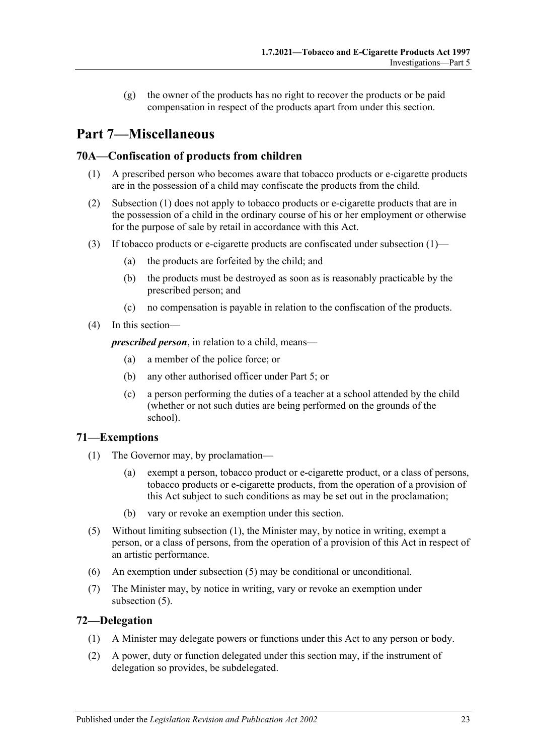(g) the owner of the products has no right to recover the products or be paid compensation in respect of the products apart from under this section.

# <span id="page-22-0"></span>**Part 7—Miscellaneous**

# <span id="page-22-4"></span><span id="page-22-1"></span>**70A—Confiscation of products from children**

- (1) A prescribed person who becomes aware that tobacco products or e-cigarette products are in the possession of a child may confiscate the products from the child.
- (2) [Subsection](#page-22-4) (1) does not apply to tobacco products or e-cigarette products that are in the possession of a child in the ordinary course of his or her employment or otherwise for the purpose of sale by retail in accordance with this Act.
- (3) If tobacco products or e-cigarette products are confiscated under [subsection](#page-22-4) (1)—
	- (a) the products are forfeited by the child; and
	- (b) the products must be destroyed as soon as is reasonably practicable by the prescribed person; and
	- (c) no compensation is payable in relation to the confiscation of the products.
- (4) In this section—

*prescribed person*, in relation to a child, means—

- (a) a member of the police force; or
- (b) any other authorised officer under [Part 5;](#page-18-0) or
- (c) a person performing the duties of a teacher at a school attended by the child (whether or not such duties are being performed on the grounds of the school).

# <span id="page-22-5"></span><span id="page-22-2"></span>**71—Exemptions**

- (1) The Governor may, by proclamation—
	- (a) exempt a person, tobacco product or e-cigarette product, or a class of persons, tobacco products or e-cigarette products, from the operation of a provision of this Act subject to such conditions as may be set out in the proclamation;
	- (b) vary or revoke an exemption under this section.
- (5) Without limiting [subsection](#page-22-5) (1), the Minister may, by notice in writing, exempt a person, or a class of persons, from the operation of a provision of this Act in respect of an artistic performance.
- (6) An exemption under subsection (5) may be conditional or unconditional.
- (7) The Minister may, by notice in writing, vary or revoke an exemption under subsection (5).

# <span id="page-22-3"></span>**72—Delegation**

- (1) A Minister may delegate powers or functions under this Act to any person or body.
- (2) A power, duty or function delegated under this section may, if the instrument of delegation so provides, be subdelegated.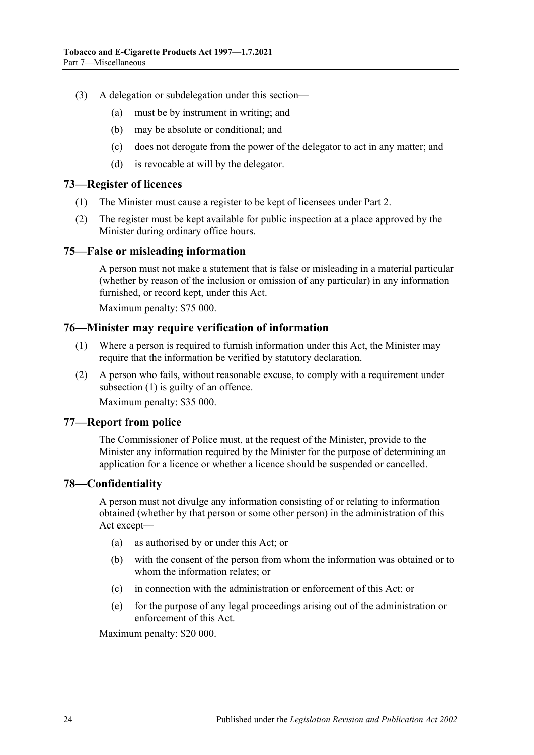- (3) A delegation or subdelegation under this section—
	- (a) must be by instrument in writing; and
	- (b) may be absolute or conditional; and
	- (c) does not derogate from the power of the delegator to act in any matter; and
	- (d) is revocable at will by the delegator.

# <span id="page-23-0"></span>**73—Register of licences**

- (1) The Minister must cause a register to be kept of licensees under [Part 2.](#page-6-0)
- (2) The register must be kept available for public inspection at a place approved by the Minister during ordinary office hours.

# <span id="page-23-1"></span>**75—False or misleading information**

A person must not make a statement that is false or misleading in a material particular (whether by reason of the inclusion or omission of any particular) in any information furnished, or record kept, under this Act.

Maximum penalty: \$75 000.

# <span id="page-23-5"></span><span id="page-23-2"></span>**76—Minister may require verification of information**

- (1) Where a person is required to furnish information under this Act, the Minister may require that the information be verified by statutory declaration.
- (2) A person who fails, without reasonable excuse, to comply with a requirement under [subsection](#page-23-5) (1) is guilty of an offence.

Maximum penalty: \$35 000.

# <span id="page-23-3"></span>**77—Report from police**

The Commissioner of Police must, at the request of the Minister, provide to the Minister any information required by the Minister for the purpose of determining an application for a licence or whether a licence should be suspended or cancelled.

# <span id="page-23-4"></span>**78—Confidentiality**

A person must not divulge any information consisting of or relating to information obtained (whether by that person or some other person) in the administration of this Act except—

- (a) as authorised by or under this Act; or
- (b) with the consent of the person from whom the information was obtained or to whom the information relates; or
- (c) in connection with the administration or enforcement of this Act; or
- (e) for the purpose of any legal proceedings arising out of the administration or enforcement of this Act.

Maximum penalty: \$20 000.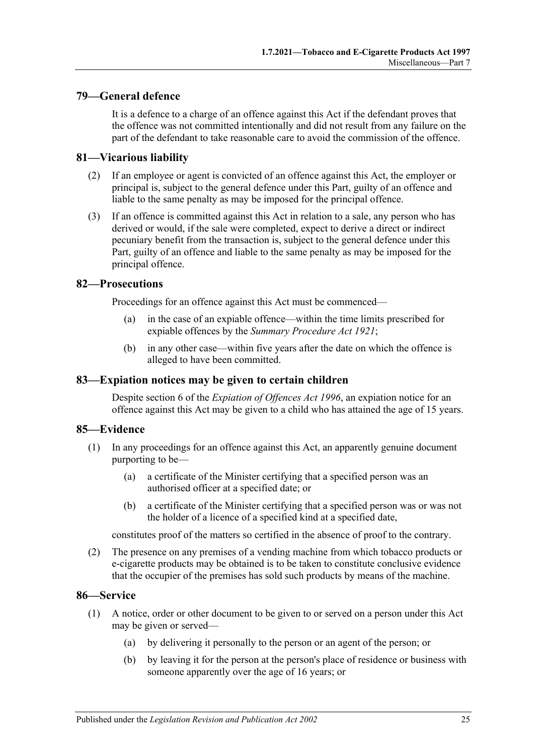# <span id="page-24-0"></span>**79—General defence**

It is a defence to a charge of an offence against this Act if the defendant proves that the offence was not committed intentionally and did not result from any failure on the part of the defendant to take reasonable care to avoid the commission of the offence.

### <span id="page-24-1"></span>**81—Vicarious liability**

- (2) If an employee or agent is convicted of an offence against this Act, the employer or principal is, subject to the general defence under this Part, guilty of an offence and liable to the same penalty as may be imposed for the principal offence.
- (3) If an offence is committed against this Act in relation to a sale, any person who has derived or would, if the sale were completed, expect to derive a direct or indirect pecuniary benefit from the transaction is, subject to the general defence under this Part, guilty of an offence and liable to the same penalty as may be imposed for the principal offence.

### <span id="page-24-2"></span>**82—Prosecutions**

Proceedings for an offence against this Act must be commenced—

- (a) in the case of an expiable offence—within the time limits prescribed for expiable offences by the *[Summary Procedure Act](http://www.legislation.sa.gov.au/index.aspx?action=legref&type=act&legtitle=Summary%20Procedure%20Act%201921) 1921*;
- (b) in any other case—within five years after the date on which the offence is alleged to have been committed.

### <span id="page-24-3"></span>**83—Expiation notices may be given to certain children**

Despite section 6 of the *[Expiation of Offences Act](http://www.legislation.sa.gov.au/index.aspx?action=legref&type=act&legtitle=Expiation%20of%20Offences%20Act%201996) 1996*, an expiation notice for an offence against this Act may be given to a child who has attained the age of 15 years.

# <span id="page-24-4"></span>**85—Evidence**

- (1) In any proceedings for an offence against this Act, an apparently genuine document purporting to be—
	- (a) a certificate of the Minister certifying that a specified person was an authorised officer at a specified date; or
	- (b) a certificate of the Minister certifying that a specified person was or was not the holder of a licence of a specified kind at a specified date,

constitutes proof of the matters so certified in the absence of proof to the contrary.

(2) The presence on any premises of a vending machine from which tobacco products or e-cigarette products may be obtained is to be taken to constitute conclusive evidence that the occupier of the premises has sold such products by means of the machine.

### <span id="page-24-6"></span><span id="page-24-5"></span>**86—Service**

- (1) A notice, order or other document to be given to or served on a person under this Act may be given or served—
	- (a) by delivering it personally to the person or an agent of the person; or
	- (b) by leaving it for the person at the person's place of residence or business with someone apparently over the age of 16 years; or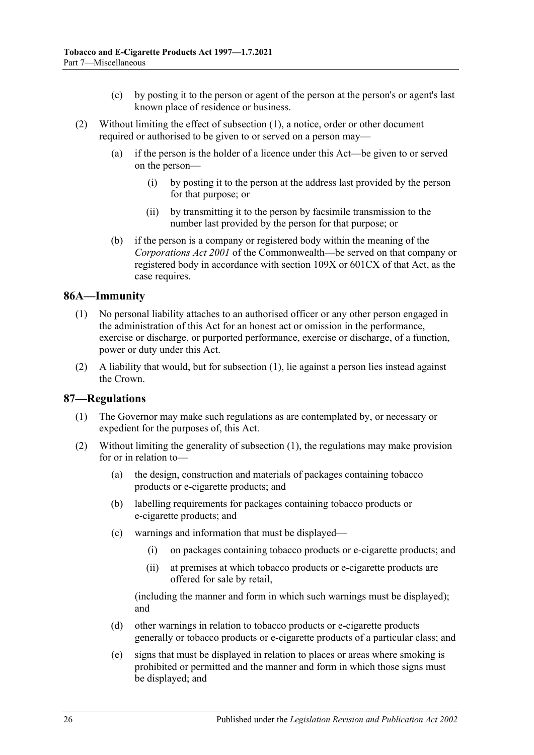- (c) by posting it to the person or agent of the person at the person's or agent's last known place of residence or business.
- (2) Without limiting the effect of [subsection](#page-24-6) (1), a notice, order or other document required or authorised to be given to or served on a person may—
	- (a) if the person is the holder of a licence under this Act—be given to or served on the person—
		- (i) by posting it to the person at the address last provided by the person for that purpose; or
		- (ii) by transmitting it to the person by facsimile transmission to the number last provided by the person for that purpose; or
	- (b) if the person is a company or registered body within the meaning of the *Corporations Act 2001* of the Commonwealth—be served on that company or registered body in accordance with section 109X or 601CX of that Act, as the case requires.

# <span id="page-25-2"></span><span id="page-25-0"></span>**86A—Immunity**

- (1) No personal liability attaches to an authorised officer or any other person engaged in the administration of this Act for an honest act or omission in the performance, exercise or discharge, or purported performance, exercise or discharge, of a function, power or duty under this Act.
- (2) A liability that would, but for [subsection](#page-25-2) (1), lie against a person lies instead against the Crown.

# <span id="page-25-3"></span><span id="page-25-1"></span>**87—Regulations**

- (1) The Governor may make such regulations as are contemplated by, or necessary or expedient for the purposes of, this Act.
- (2) Without limiting the generality of [subsection](#page-25-3) (1), the regulations may make provision for or in relation to—
	- (a) the design, construction and materials of packages containing tobacco products or e-cigarette products; and
	- (b) labelling requirements for packages containing tobacco products or e-cigarette products; and
	- (c) warnings and information that must be displayed—
		- (i) on packages containing tobacco products or e-cigarette products; and
		- (ii) at premises at which tobacco products or e-cigarette products are offered for sale by retail,

(including the manner and form in which such warnings must be displayed); and

- (d) other warnings in relation to tobacco products or e-cigarette products generally or tobacco products or e-cigarette products of a particular class; and
- (e) signs that must be displayed in relation to places or areas where smoking is prohibited or permitted and the manner and form in which those signs must be displayed; and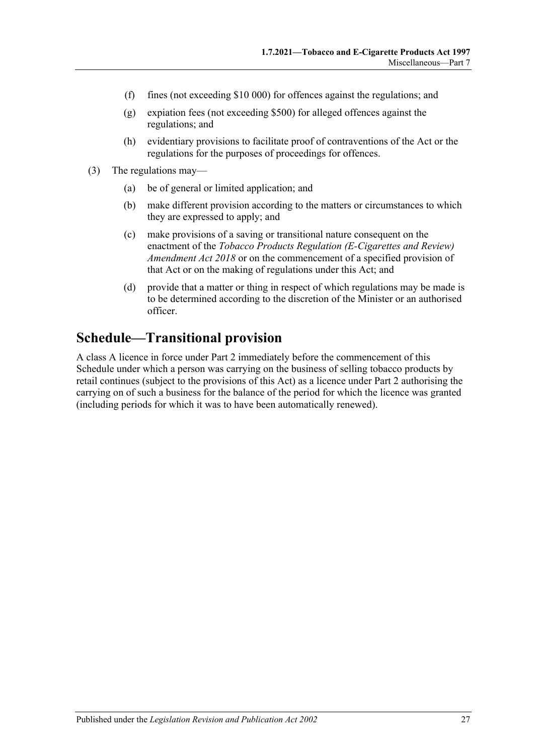- (f) fines (not exceeding \$10 000) for offences against the regulations; and
- (g) expiation fees (not exceeding \$500) for alleged offences against the regulations; and
- (h) evidentiary provisions to facilitate proof of contraventions of the Act or the regulations for the purposes of proceedings for offences.
- (3) The regulations may—
	- (a) be of general or limited application; and
	- (b) make different provision according to the matters or circumstances to which they are expressed to apply; and
	- (c) make provisions of a saving or transitional nature consequent on the enactment of the *[Tobacco Products Regulation \(E-Cigarettes and Review\)](http://www.legislation.sa.gov.au/index.aspx?action=legref&type=act&legtitle=Tobacco%20Products%20Regulation%20(E-Cigarettes%20and%20Review)%20Amendment%20Act%202018)  [Amendment Act](http://www.legislation.sa.gov.au/index.aspx?action=legref&type=act&legtitle=Tobacco%20Products%20Regulation%20(E-Cigarettes%20and%20Review)%20Amendment%20Act%202018) 2018* or on the commencement of a specified provision of that Act or on the making of regulations under this Act; and
	- (d) provide that a matter or thing in respect of which regulations may be made is to be determined according to the discretion of the Minister or an authorised officer.

# <span id="page-26-0"></span>**Schedule—Transitional provision**

A class A licence in force under [Part 2](#page-6-0) immediately before the commencement of this Schedule under which a person was carrying on the business of selling tobacco products by retail continues (subject to the provisions of this Act) as a licence under [Part 2](#page-6-0) authorising the carrying on of such a business for the balance of the period for which the licence was granted (including periods for which it was to have been automatically renewed).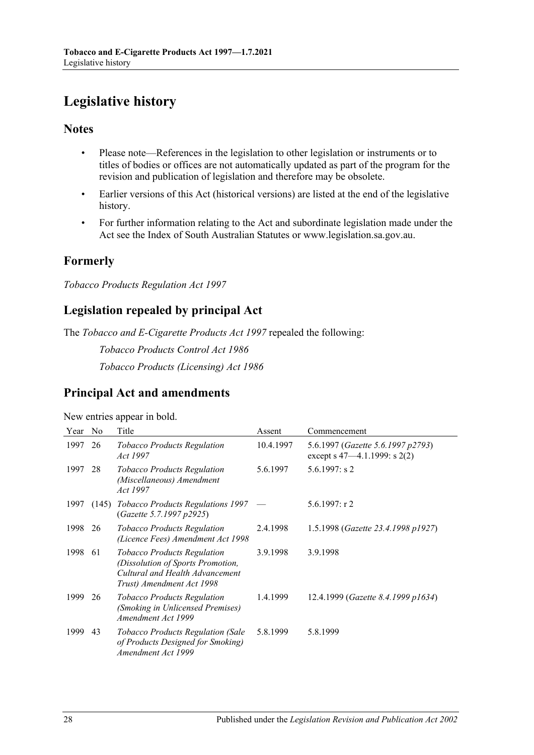# <span id="page-27-0"></span>**Legislative history**

# **Notes**

- Please note—References in the legislation to other legislation or instruments or to titles of bodies or offices are not automatically updated as part of the program for the revision and publication of legislation and therefore may be obsolete.
- Earlier versions of this Act (historical versions) are listed at the end of the legislative history.
- For further information relating to the Act and subordinate legislation made under the Act see the Index of South Australian Statutes or www.legislation.sa.gov.au.

# **Formerly**

*Tobacco Products Regulation Act 1997*

# **Legislation repealed by principal Act**

The *Tobacco and E-Cigarette Products Act 1997* repealed the following:

*Tobacco Products Control Act 1986*

*Tobacco Products (Licensing) Act 1986*

# **Principal Act and amendments**

New entries appear in bold.

| Year | N <sub>o</sub> | Title                                                                                                                                   | Assent    | Commencement                                                           |
|------|----------------|-----------------------------------------------------------------------------------------------------------------------------------------|-----------|------------------------------------------------------------------------|
| 1997 | 26             | <b>Tobacco Products Regulation</b><br><i>Act</i> 1997                                                                                   | 10.4.1997 | 5.6.1997 (Gazette 5.6.1997 p2793)<br>except s $47-4.1.1999$ : s $2(2)$ |
| 1997 | 28             | <b>Tobacco Products Regulation</b><br>(Miscellaneous) Amendment<br>Act 1997                                                             | 5.6.1997  | $5.6.1997$ : s 2                                                       |
| 1997 | (145)          | <b>Tobacco Products Regulations 1997</b><br>(Gazette 5.7.1997 p2925)                                                                    |           | 5.6.1997: r 2                                                          |
| 1998 | 26             | <b>Tobacco Products Regulation</b><br>(Licence Fees) Amendment Act 1998                                                                 | 2.4.1998  | 1.5.1998 (Gazette 23.4.1998 p1927)                                     |
| 1998 | 61             | <i>Tobacco Products Regulation</i><br>(Dissolution of Sports Promotion,<br>Cultural and Health Advancement<br>Trust) Amendment Act 1998 | 3.9.1998  | 3.9.1998                                                               |
| 1999 | 26             | <b>Tobacco Products Regulation</b><br>(Smoking in Unlicensed Premises)<br>Amendment Act 1999                                            | 1.4.1999  | 12.4.1999 (Gazette 8.4.1999 p1634)                                     |
| 1999 | 43             | <b>Tobacco Products Regulation (Sale</b><br>of Products Designed for Smoking)<br>Amendment Act 1999                                     | 5.8.1999  | 5.8.1999                                                               |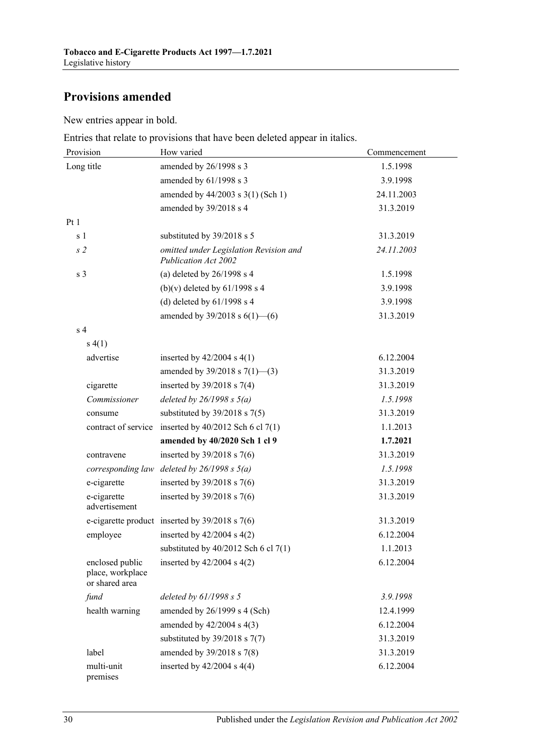# **Provisions amended**

New entries appear in bold.

Entries that relate to provisions that have been deleted appear in italics.

| Provision                                             | How varied                                                     | Commencement |  |
|-------------------------------------------------------|----------------------------------------------------------------|--------------|--|
| Long title                                            | amended by 26/1998 s 3                                         | 1.5.1998     |  |
|                                                       | amended by 61/1998 s 3                                         | 3.9.1998     |  |
|                                                       | amended by 44/2003 s 3(1) (Sch 1)                              | 24.11.2003   |  |
|                                                       | amended by 39/2018 s 4                                         | 31.3.2019    |  |
| Pt1                                                   |                                                                |              |  |
| s 1                                                   | substituted by 39/2018 s 5                                     | 31.3.2019    |  |
| s <sub>2</sub>                                        | omitted under Legislation Revision and<br>Publication Act 2002 | 24.11.2003   |  |
| s <sub>3</sub>                                        | (a) deleted by $26/1998$ s 4                                   | 1.5.1998     |  |
|                                                       | (b)(v) deleted by $61/1998$ s 4                                | 3.9.1998     |  |
|                                                       | (d) deleted by $61/1998$ s 4                                   | 3.9.1998     |  |
|                                                       | amended by $39/2018$ s $6(1)$ —(6)                             | 31.3.2019    |  |
| s <sub>4</sub>                                        |                                                                |              |  |
| s(4(1))                                               |                                                                |              |  |
| advertise                                             | inserted by $42/2004$ s $4(1)$                                 | 6.12.2004    |  |
|                                                       | amended by $39/2018$ s $7(1)$ —(3)                             | 31.3.2019    |  |
| cigarette                                             | inserted by $39/2018$ s $7(4)$                                 | 31.3.2019    |  |
| Commissioner                                          | deleted by $26/1998 s 5(a)$                                    | 1.5.1998     |  |
| consume                                               | substituted by $39/2018$ s $7(5)$                              | 31.3.2019    |  |
|                                                       | contract of service inserted by $40/2012$ Sch 6 cl 7(1)        | 1.1.2013     |  |
|                                                       | amended by 40/2020 Sch 1 cl 9                                  | 1.7.2021     |  |
| contravene                                            | inserted by $39/2018$ s 7(6)                                   | 31.3.2019    |  |
|                                                       | corresponding law deleted by $26/1998 s 5(a)$                  | 1.5.1998     |  |
| e-cigarette                                           | inserted by $39/2018$ s 7(6)                                   | 31.3.2019    |  |
| e-cigarette<br>advertisement                          | inserted by $39/2018$ s 7(6)                                   | 31.3.2019    |  |
|                                                       | e-cigarette product inserted by $39/2018$ s 7(6)               | 31.3.2019    |  |
| employee                                              | inserted by $42/2004$ s $4(2)$                                 | 6.12.2004    |  |
|                                                       | substituted by $40/2012$ Sch 6 cl $7(1)$                       | 1.1.2013     |  |
| enclosed public<br>place, workplace<br>or shared area | inserted by $42/2004$ s $4(2)$                                 | 6.12.2004    |  |
| fund                                                  | deleted by $61/1998 s 5$                                       | 3.9.1998     |  |
| health warning                                        | amended by 26/1999 s 4 (Sch)                                   | 12.4.1999    |  |
|                                                       | amended by $42/2004$ s $4(3)$                                  | 6.12.2004    |  |
|                                                       | substituted by $39/2018$ s $7(7)$                              | 31.3.2019    |  |
| label                                                 | amended by 39/2018 s 7(8)                                      | 31.3.2019    |  |
| multi-unit<br>premises                                | inserted by $42/2004$ s $4(4)$                                 | 6.12.2004    |  |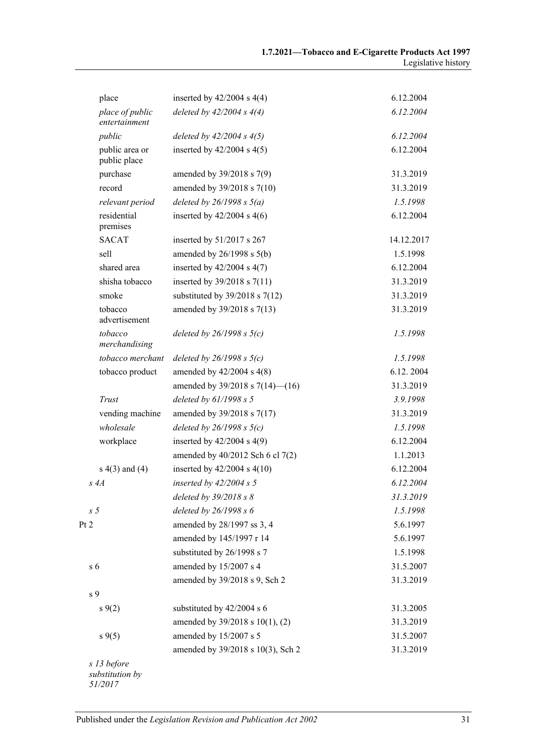| place                                     | inserted by $42/2004$ s $4(4)$          | 6.12.2004  |
|-------------------------------------------|-----------------------------------------|------------|
| place of public<br>entertainment          | deleted by $42/2004 s 4(4)$             | 6.12.2004  |
| public                                    | deleted by $42/2004 s 4(5)$             | 6.12.2004  |
| public area or<br>public place            | inserted by $42/2004$ s $4(5)$          | 6.12.2004  |
| purchase                                  | amended by 39/2018 s 7(9)               | 31.3.2019  |
| record                                    | amended by 39/2018 s 7(10)              | 31.3.2019  |
| relevant period                           | deleted by $26/1998 s 5(a)$             | 1.5.1998   |
| residential<br>premises                   | inserted by $42/2004$ s $4(6)$          | 6.12.2004  |
| <b>SACAT</b>                              | inserted by 51/2017 s 267               | 14.12.2017 |
| sell                                      | amended by $26/1998$ s $5(b)$           | 1.5.1998   |
| shared area                               | inserted by $42/2004$ s $4(7)$          | 6.12.2004  |
| shisha tobacco                            | inserted by $39/2018$ s $7(11)$         | 31.3.2019  |
| smoke                                     | substituted by $39/2018$ s $7(12)$      | 31.3.2019  |
| tobacco<br>advertisement                  | amended by 39/2018 s 7(13)              | 31.3.2019  |
| tobacco<br>merchandising                  | deleted by $26/1998$ s $5(c)$           | 1.5.1998   |
| tobacco merchant                          | deleted by $26/1998$ s $5(c)$           | 1.5.1998   |
| tobacco product                           | amended by $42/2004$ s $4(8)$           | 6.12.2004  |
|                                           | amended by $39/2018$ s $7(14)$ — $(16)$ | 31.3.2019  |
| Trust                                     | deleted by $61/1998 s 5$                | 3.9.1998   |
| vending machine                           | amended by 39/2018 s 7(17)              | 31.3.2019  |
| wholesale                                 | deleted by $26/1998 s 5(c)$             | 1.5.1998   |
| workplace                                 | inserted by $42/2004$ s $4(9)$          | 6.12.2004  |
|                                           | amended by 40/2012 Sch 6 cl 7(2)        | 1.1.2013   |
| $s(4)$ and $(4)$                          | inserted by $42/2004$ s $4(10)$         | 6.12.2004  |
| s 4A                                      | inserted by $42/2004 s$ 5               | 6.12.2004  |
|                                           | deleted by $39/2018 s 8$                | 31.3.2019  |
| s <sub>5</sub>                            | deleted by 26/1998 s 6                  | 1.5.1998   |
| Pt 2                                      | amended by 28/1997 ss 3, 4              | 5.6.1997   |
|                                           | amended by 145/1997 r 14                | 5.6.1997   |
|                                           | substituted by 26/1998 s 7              | 1.5.1998   |
| s <sub>6</sub>                            | amended by 15/2007 s 4                  | 31.5.2007  |
|                                           | amended by 39/2018 s 9, Sch 2           | 31.3.2019  |
| s 9                                       |                                         |            |
| $s \, 9(2)$                               | substituted by 42/2004 s 6              | 31.3.2005  |
|                                           | amended by 39/2018 s 10(1), (2)         | 31.3.2019  |
| $s \, 9(5)$                               | amended by 15/2007 s 5                  | 31.5.2007  |
|                                           | amended by 39/2018 s 10(3), Sch 2       | 31.3.2019  |
| s 13 before<br>substitution by<br>51/2017 |                                         |            |

Published under the *Legislation Revision and Publication Act 2002* 31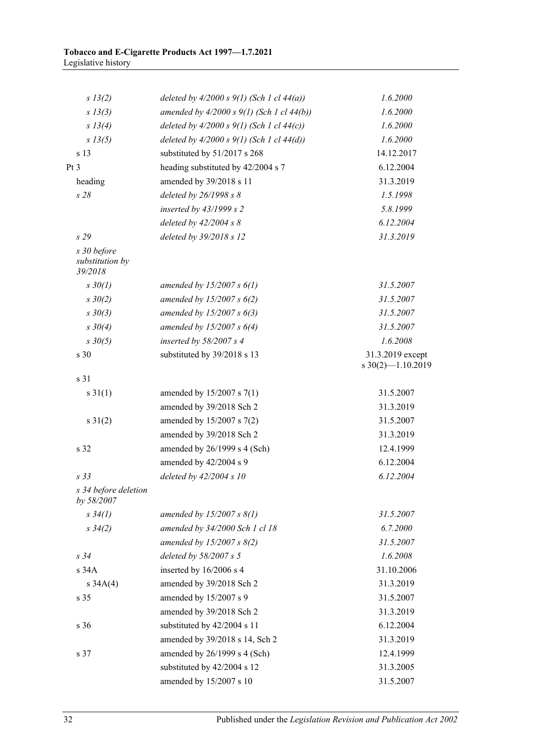| s 13(2)                                   | deleted by $4/2000 s 9(1)$ (Sch 1 cl $44(a)$ ) | 1.6.2000                                |
|-------------------------------------------|------------------------------------------------|-----------------------------------------|
| s 13(3)                                   | amended by $4/2000 s 9(1)$ (Sch 1 cl $44(b)$ ) | 1.6.2000                                |
| s 13(4)                                   | deleted by $4/2000 s 9(1)$ (Sch 1 cl $44(c)$ ) | 1.6.2000                                |
| s 13(5)                                   | deleted by $4/2000 s 9(1)$ (Sch 1 cl $44(d)$ ) | 1.6.2000                                |
| s 13                                      | substituted by 51/2017 s 268                   | 14.12.2017                              |
| Pt 3                                      | heading substituted by 42/2004 s 7             | 6.12.2004                               |
| heading                                   | amended by 39/2018 s 11                        | 31.3.2019                               |
| s28                                       | deleted by 26/1998 s 8                         | 1.5.1998                                |
|                                           | inserted by $43/1999 s 2$                      | 5.8.1999                                |
|                                           | deleted by $42/2004 s 8$                       | 6.12.2004                               |
| s29                                       | deleted by 39/2018 s 12                        | 31.3.2019                               |
| s 30 before<br>substitution by<br>39/2018 |                                                |                                         |
| $s \, 30(1)$                              | amended by $15/2007 s 6(1)$                    | 31.5.2007                               |
| $s \frac{30}{2}$                          | amended by 15/2007 s $6(2)$                    | 31.5.2007                               |
| $s \frac{30(3)}{3}$                       | amended by $15/2007 s 6(3)$                    | 31.5.2007                               |
| $s \frac{30}{4}$                          | amended by 15/2007 s $6(4)$                    | 31.5.2007                               |
| $s \frac{30(5)}{5}$                       | inserted by $58/2007 s 4$                      | 1.6.2008                                |
| s 30                                      | substituted by 39/2018 s 13                    | 31.3.2019 except<br>$s$ 30(2)-1.10.2019 |
| s 31                                      |                                                |                                         |
| $s \, 31(1)$                              | amended by 15/2007 s 7(1)                      | 31.5.2007                               |
|                                           | amended by 39/2018 Sch 2                       | 31.3.2019                               |
| $s \ 31(2)$                               | amended by 15/2007 s 7(2)                      | 31.5.2007                               |
|                                           | amended by 39/2018 Sch 2                       | 31.3.2019                               |
| s 32                                      | amended by 26/1999 s 4 (Sch)                   | 12.4.1999                               |
|                                           | amended by 42/2004 s 9                         | 6.12.2004                               |
| s 33                                      | deleted by $42/2004 s 10$                      | 6.12.2004                               |
| s 34 before deletion<br>by 58/2007        |                                                |                                         |
| $s \frac{34(1)}{2}$                       | amended by $15/2007 s 8(1)$                    | 31.5.2007                               |
| $s \frac{34(2)}{2}$                       | amended by 34/2000 Sch 1 cl 18                 | 6.7.2000                                |
|                                           | amended by 15/2007 s $8(2)$                    | 31.5.2007                               |
| $s\,34$                                   | deleted by 58/2007 s 5                         | 1.6.2008                                |
| s 34A                                     | inserted by 16/2006 s 4                        | 31.10.2006                              |
| $s \, 34A(4)$                             | amended by 39/2018 Sch 2                       | 31.3.2019                               |
| s 35                                      | amended by 15/2007 s 9                         | 31.5.2007                               |
|                                           | amended by 39/2018 Sch 2                       | 31.3.2019                               |
| s 36                                      | substituted by 42/2004 s 11                    | 6.12.2004                               |
|                                           | amended by 39/2018 s 14, Sch 2                 | 31.3.2019                               |
| s 37                                      | amended by 26/1999 s 4 (Sch)                   | 12.4.1999                               |
|                                           | substituted by 42/2004 s 12                    | 31.3.2005                               |
|                                           | amended by 15/2007 s 10                        | 31.5.2007                               |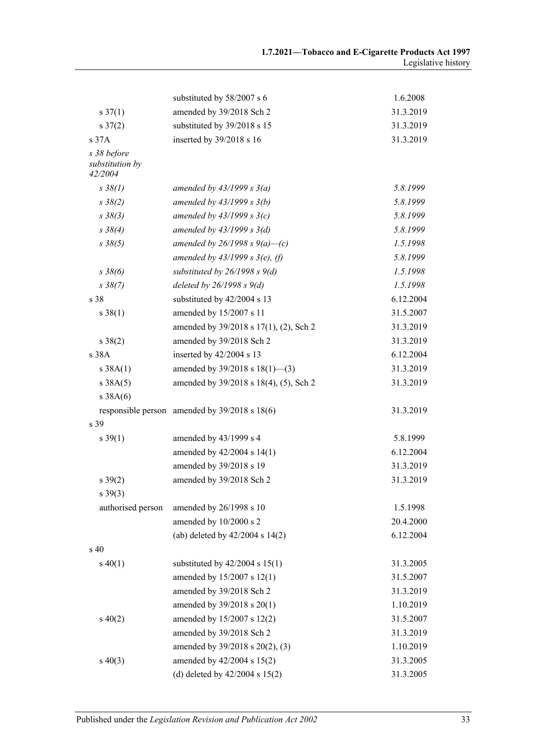|                                           | substituted by 58/2007 s 6                        | 1.6.2008  |
|-------------------------------------------|---------------------------------------------------|-----------|
| $s \frac{37(1)}{2}$                       | amended by 39/2018 Sch 2                          | 31.3.2019 |
| $s \frac{37(2)}{2}$                       | substituted by 39/2018 s 15                       | 31.3.2019 |
| s 37A                                     | inserted by 39/2018 s 16                          | 31.3.2019 |
| s 38 before<br>substitution by<br>42/2004 |                                                   |           |
| $s \, 38(1)$                              | amended by $43/1999 s 3(a)$                       | 5.8.1999  |
| $s \frac{38(2)}{2}$                       | amended by $43/1999 s 3(b)$                       | 5.8.1999  |
| $s \frac{38(3)}{3}$                       | amended by $43/1999 s 3(c)$                       | 5.8.1999  |
| $s \, 38(4)$                              | amended by $43/1999 s 3(d)$                       | 5.8.1999  |
| $s \frac{38(5)}{2}$                       | amended by 26/1998 s 9(a)–(c)                     | 1.5.1998  |
|                                           | amended by $43/1999 s 3(e)$ , (f)                 | 5.8.1999  |
| $s \, 38(6)$                              | substituted by $26/1998 s 9(d)$                   | 1.5.1998  |
| $s \frac{38(7)}{2}$                       | deleted by $26/1998 s 9(d)$                       | 1.5.1998  |
| s 38                                      | substituted by 42/2004 s 13                       | 6.12.2004 |
| $s \, 38(1)$                              | amended by 15/2007 s 11                           | 31.5.2007 |
|                                           | amended by 39/2018 s 17(1), (2), Sch 2            | 31.3.2019 |
| $s \ 38(2)$                               | amended by 39/2018 Sch 2                          | 31.3.2019 |
| s 38A                                     | inserted by 42/2004 s 13                          | 6.12.2004 |
| s 38A(1)                                  | amended by $39/2018$ s $18(1)$ —(3)               | 31.3.2019 |
| s 38A(5)                                  | amended by 39/2018 s 18(4), (5), Sch 2            | 31.3.2019 |
| s 38A(6)                                  |                                                   |           |
|                                           | responsible person amended by $39/2018$ s $18(6)$ | 31.3.2019 |
| s 39                                      |                                                   |           |
| $s \, 39(1)$                              | amended by 43/1999 s 4                            | 5.8.1999  |
|                                           | amended by 42/2004 s 14(1)                        | 6.12.2004 |
|                                           | amended by 39/2018 s 19                           | 31.3.2019 |
| $s \, 39(2)$                              | amended by 39/2018 Sch 2                          | 31.3.2019 |
| $s\,39(3)$                                |                                                   |           |
| authorised person                         | amended by 26/1998 s 10                           | 1.5.1998  |
|                                           | amended by 10/2000 s 2                            | 20.4.2000 |
|                                           | (ab) deleted by $42/2004$ s $14(2)$               | 6.12.2004 |
| $\mathrm{s}$ 40                           |                                                   |           |
| $s\ 40(1)$                                | substituted by $42/2004$ s $15(1)$                | 31.3.2005 |
|                                           | amended by 15/2007 s 12(1)                        | 31.5.2007 |
|                                           | amended by 39/2018 Sch 2                          | 31.3.2019 |
|                                           | amended by 39/2018 s 20(1)                        | 1.10.2019 |
| $s\ 40(2)$                                | amended by 15/2007 s 12(2)                        | 31.5.2007 |
|                                           | amended by 39/2018 Sch 2                          | 31.3.2019 |
|                                           | amended by 39/2018 s 20(2), (3)                   | 1.10.2019 |
| $s\ 40(3)$                                | amended by 42/2004 s 15(2)                        | 31.3.2005 |
|                                           | (d) deleted by $42/2004$ s $15(2)$                | 31.3.2005 |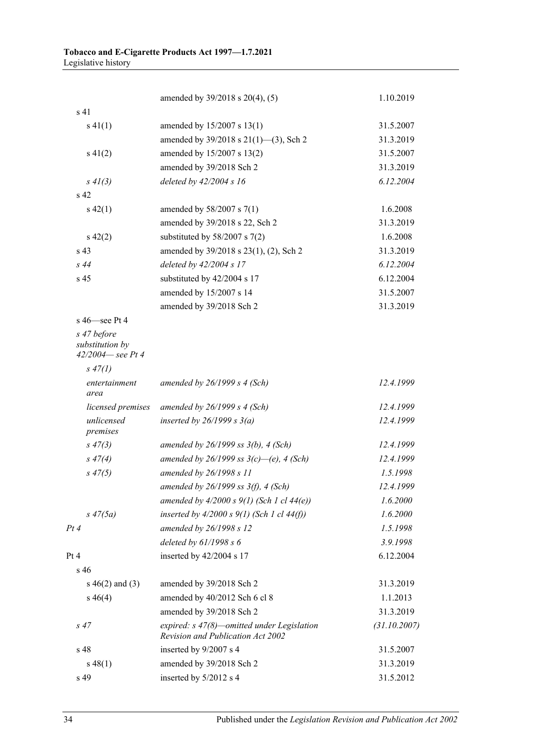|                                     | amended by 39/2018 s 20(4), (5)                                                 | 1.10.2019    |
|-------------------------------------|---------------------------------------------------------------------------------|--------------|
| s <sub>41</sub>                     |                                                                                 |              |
| $s\ 41(1)$                          | amended by 15/2007 s 13(1)                                                      | 31.5.2007    |
|                                     | amended by 39/2018 s 21(1)-(3), Sch 2                                           | 31.3.2019    |
| $s\ 41(2)$                          | amended by 15/2007 s 13(2)                                                      | 31.5.2007    |
|                                     | amended by 39/2018 Sch 2                                                        | 31.3.2019    |
| $s \, 41(3)$                        | deleted by 42/2004 s 16                                                         | 6.12.2004    |
| s <sub>42</sub>                     |                                                                                 |              |
| $s\ 42(1)$                          | amended by $58/2007$ s $7(1)$                                                   | 1.6.2008     |
|                                     | amended by 39/2018 s 22, Sch 2                                                  | 31.3.2019    |
| $s\ 42(2)$                          | substituted by $58/2007$ s $7(2)$                                               | 1.6.2008     |
| s 43                                | amended by 39/2018 s 23(1), (2), Sch 2                                          | 31.3.2019    |
| s44                                 | deleted by 42/2004 s 17                                                         | 6.12.2004    |
| s <sub>45</sub>                     | substituted by 42/2004 s 17                                                     | 6.12.2004    |
|                                     | amended by 15/2007 s 14                                                         | 31.5.2007    |
|                                     | amended by 39/2018 Sch 2                                                        | 31.3.2019    |
| $s$ 46 $-$ see Pt 4                 |                                                                                 |              |
| s 47 before                         |                                                                                 |              |
| substitution by<br>42/2004-see Pt 4 |                                                                                 |              |
| $s\,47(1)$                          |                                                                                 |              |
| entertainment<br>area               | amended by $26/1999 s 4$ (Sch)                                                  | 12.4.1999    |
| licensed premises                   | amended by $26/1999 s 4$ (Sch)                                                  | 12.4.1999    |
| unlicensed<br>premises              | inserted by $26/1999 s 3(a)$                                                    | 12.4.1999    |
| $s\,47(3)$                          | amended by $26/1999$ ss $3(b)$ , 4 (Sch)                                        | 12.4.1999    |
| $s\;47(4)$                          | amended by 26/1999 ss $3(c)$ —(e), 4 (Sch)                                      | 12.4.1999    |
| $s\,47(5)$                          | amended by 26/1998 s 11                                                         | 1.5.1998     |
|                                     | amended by $26/1999$ ss $3(f)$ , 4 (Sch)                                        | 12.4.1999    |
|                                     | amended by $4/2000 s 9(1)$ (Sch 1 cl $44(e)$ )                                  | 1.6.2000     |
| $s\,47(5a)$                         | inserted by $4/2000 s 9(1)$ (Sch 1 cl $44(f)$ )                                 | 1.6.2000     |
| Pt 4                                | amended by 26/1998 s 12                                                         | 1.5.1998     |
|                                     | deleted by $61/1998 s 6$                                                        | 3.9.1998     |
| Pt 4                                | inserted by 42/2004 s 17                                                        | 6.12.2004    |
| $s\,46$                             |                                                                                 |              |
| s $46(2)$ and $(3)$                 | amended by 39/2018 Sch 2                                                        | 31.3.2019    |
| $s\,46(4)$                          | amended by 40/2012 Sch 6 cl 8                                                   | 1.1.2013     |
|                                     | amended by 39/2018 Sch 2                                                        | 31.3.2019    |
| $s\,47$                             | expired: s 47(8)-omitted under Legislation<br>Revision and Publication Act 2002 | (31.10.2007) |
| s 48                                | inserted by 9/2007 s 4                                                          | 31.5.2007    |
| $s\,48(1)$                          | amended by 39/2018 Sch 2                                                        | 31.3.2019    |
| s 49                                | inserted by 5/2012 s 4                                                          | 31.5.2012    |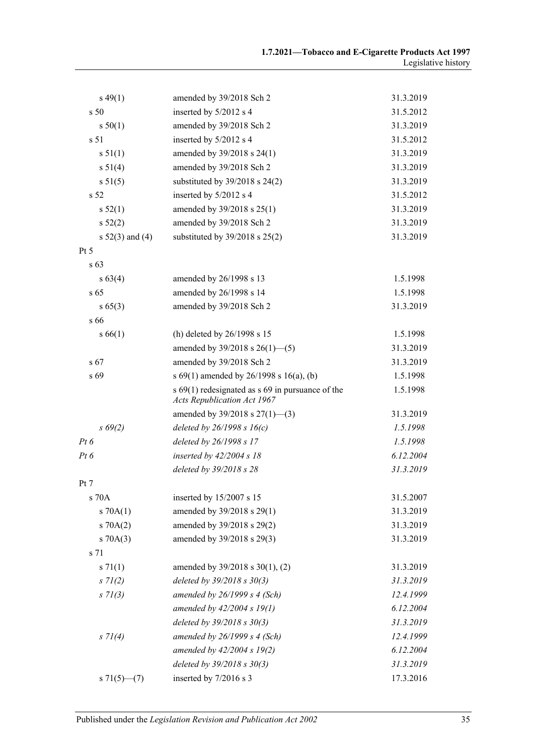| $s\,49(1)$          | amended by 39/2018 Sch 2                                                            | 31.3.2019 |
|---------------------|-------------------------------------------------------------------------------------|-----------|
| s 50                | inserted by 5/2012 s 4                                                              | 31.5.2012 |
| s 50(1)             | amended by 39/2018 Sch 2                                                            | 31.3.2019 |
| s 51                | inserted by 5/2012 s 4                                                              | 31.5.2012 |
| s 51(1)             | amended by 39/2018 s 24(1)                                                          | 31.3.2019 |
| s 51(4)             | amended by 39/2018 Sch 2                                                            | 31.3.2019 |
| s 51(5)             | substituted by $39/2018$ s $24(2)$                                                  | 31.3.2019 |
| s 52                | inserted by 5/2012 s 4                                                              | 31.5.2012 |
| s 52(1)             | amended by 39/2018 s 25(1)                                                          | 31.3.2019 |
| s 52(2)             | amended by 39/2018 Sch 2                                                            | 31.3.2019 |
| s $52(3)$ and $(4)$ | substituted by $39/2018$ s $25(2)$                                                  | 31.3.2019 |
| Pt 5                |                                                                                     |           |
| s 63                |                                                                                     |           |
| $s\,63(4)$          | amended by 26/1998 s 13                                                             | 1.5.1998  |
| s <sub>65</sub>     | amended by 26/1998 s 14                                                             | 1.5.1998  |
| $s\,65(3)$          | amended by 39/2018 Sch 2                                                            | 31.3.2019 |
| s 66                |                                                                                     |           |
| s 66(1)             | (h) deleted by 26/1998 s 15                                                         | 1.5.1998  |
|                     | amended by $39/2018$ s $26(1)$ —(5)                                                 | 31.3.2019 |
| s 67                | amended by 39/2018 Sch 2                                                            | 31.3.2019 |
| s 69                | s 69(1) amended by 26/1998 s 16(a), (b)                                             | 1.5.1998  |
|                     | s $69(1)$ redesignated as s $69$ in pursuance of the<br>Acts Republication Act 1967 | 1.5.1998  |
|                     | amended by $39/2018$ s $27(1)$ —(3)                                                 | 31.3.2019 |
| $s\,69(2)$          | deleted by $26/1998 s 16(c)$                                                        | 1.5.1998  |
| $Pt\,6$             | deleted by 26/1998 s 17                                                             | 1.5.1998  |
| $Pt\,6$             | inserted by $42/2004 s 18$                                                          | 6.12.2004 |
|                     | deleted by 39/2018 s 28                                                             | 31.3.2019 |
| Pt 7                |                                                                                     |           |
| s 70A               | inserted by 15/2007 s 15                                                            | 31.5.2007 |
| $s \, 70A(1)$       | amended by 39/2018 s 29(1)                                                          | 31.3.2019 |
| 570A(2)             | amended by 39/2018 s 29(2)                                                          | 31.3.2019 |
| $s \, 70A(3)$       | amended by 39/2018 s 29(3)                                                          | 31.3.2019 |
| s 71                |                                                                                     |           |
| $s \, 71(1)$        | amended by $39/2018$ s $30(1)$ , (2)                                                | 31.3.2019 |
| $s \, 71(2)$        | deleted by $39/2018$ s $30(3)$                                                      | 31.3.2019 |
| $s \, 71(3)$        | amended by $26/1999 s 4$ (Sch)                                                      | 12.4.1999 |
|                     | amended by 42/2004 s 19(1)                                                          | 6.12.2004 |
|                     | deleted by $39/2018$ s $30(3)$                                                      | 31.3.2019 |
| $s \, 71(4)$        | amended by $26/1999 s 4$ (Sch)                                                      | 12.4.1999 |
|                     | amended by 42/2004 s 19(2)                                                          | 6.12.2004 |
|                     | deleted by $39/2018$ s $30(3)$                                                      | 31.3.2019 |
| $s \, 71(5)$ (7)    | inserted by 7/2016 s 3                                                              | 17.3.2016 |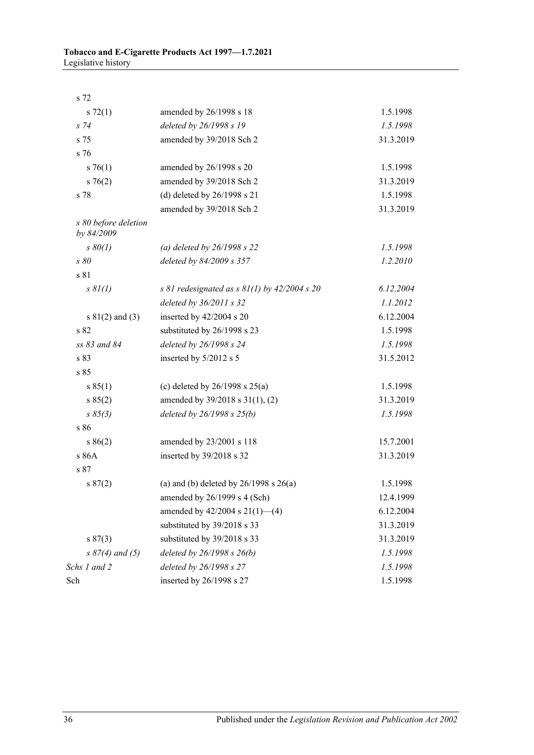| s 72                               |                                                  |           |
|------------------------------------|--------------------------------------------------|-----------|
| $s \, 72(1)$                       | amended by 26/1998 s 18                          | 1.5.1998  |
| $s\,74$                            | deleted by 26/1998 s 19                          | 1.5.1998  |
| s 75                               | amended by 39/2018 Sch 2                         | 31.3.2019 |
| s 76                               |                                                  |           |
| $s \, 76(1)$                       | amended by 26/1998 s 20                          | 1.5.1998  |
| $s \, 76(2)$                       | amended by 39/2018 Sch 2                         | 31.3.2019 |
| s 78                               | (d) deleted by $26/1998$ s $21$                  | 1.5.1998  |
|                                    | amended by 39/2018 Sch 2                         | 31.3.2019 |
| s 80 before deletion<br>by 84/2009 |                                                  |           |
| $s\,80(1)$                         | (a) deleted by $26/1998 s 22$                    | 1.5.1998  |
| s 80                               | deleted by 84/2009 s 357                         | 1.2.2010  |
| s 81                               |                                                  |           |
| $s \, \frac{8I(1)}{2}$             | s 81 redesignated as s $81(1)$ by $42/2004$ s 20 | 6.12.2004 |
|                                    | deleted by 36/2011 s 32                          | 1.1.2012  |
| $s \ 81(2)$ and (3)                | inserted by 42/2004 s 20                         | 6.12.2004 |
| s 82                               | substituted by 26/1998 s 23                      | 1.5.1998  |
| ss 83 and 84                       | deleted by 26/1998 s 24                          | 1.5.1998  |
| s 83                               | inserted by 5/2012 s 5                           | 31.5.2012 |
| s 85                               |                                                  |           |
| s 85(1)                            | (c) deleted by $26/1998$ s $25(a)$               | 1.5.1998  |
| s 85(2)                            | amended by 39/2018 s 31(1), (2)                  | 31.3.2019 |
| $s \; 85(3)$                       | deleted by $26/1998 s 25(b)$                     | 1.5.1998  |
| s 86                               |                                                  |           |
| s 86(2)                            | amended by 23/2001 s 118                         | 15.7.2001 |
| s 86A                              | inserted by 39/2018 s 32                         | 31.3.2019 |
| s 87                               |                                                  |           |
| s 87(2)                            | (a) and (b) deleted by $26/1998$ s $26(a)$       | 1.5.1998  |
|                                    | amended by 26/1999 s 4 (Sch)                     | 12.4.1999 |
|                                    | amended by $42/2004$ s $21(1)$ —(4)              | 6.12.2004 |
|                                    | substituted by 39/2018 s 33                      | 31.3.2019 |
| s 87(3)                            | substituted by 39/2018 s 33                      | 31.3.2019 |
| $s \, 87(4)$ and (5)               | deleted by 26/1998 s 26(b)                       | 1.5.1998  |
| Schs 1 and 2                       | deleted by 26/1998 s 27                          | 1.5.1998  |
| Sch                                | inserted by 26/1998 s 27                         | 1.5.1998  |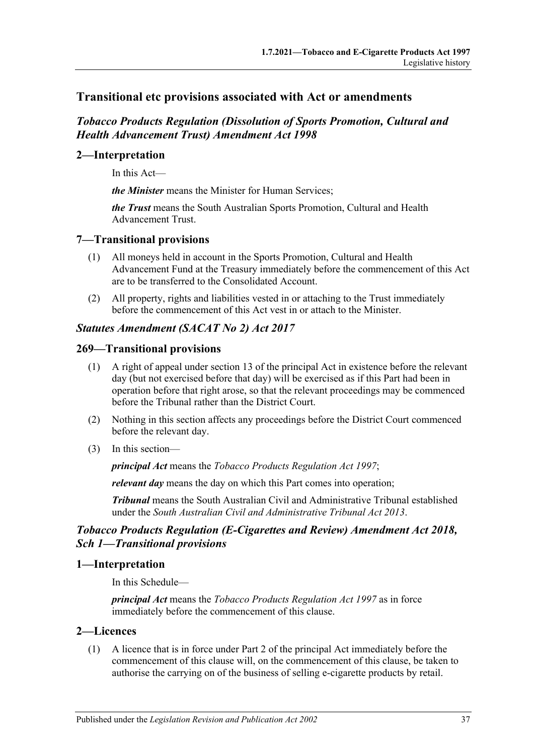# **Transitional etc provisions associated with Act or amendments**

# *Tobacco Products Regulation (Dissolution of Sports Promotion, Cultural and Health Advancement Trust) Amendment Act 1998*

# **2—Interpretation**

In this Act—

*the Minister* means the Minister for Human Services;

*the Trust* means the South Australian Sports Promotion, Cultural and Health Advancement Trust.

# **7—Transitional provisions**

- (1) All moneys held in account in the Sports Promotion, Cultural and Health Advancement Fund at the Treasury immediately before the commencement of this Act are to be transferred to the Consolidated Account.
- (2) All property, rights and liabilities vested in or attaching to the Trust immediately before the commencement of this Act vest in or attach to the Minister.

### *Statutes Amendment (SACAT No 2) Act 2017*

### **269—Transitional provisions**

- (1) A right of appeal under section 13 of the principal Act in existence before the relevant day (but not exercised before that day) will be exercised as if this Part had been in operation before that right arose, so that the relevant proceedings may be commenced before the Tribunal rather than the District Court.
- (2) Nothing in this section affects any proceedings before the District Court commenced before the relevant day.
- (3) In this section—

*principal Act* means the *[Tobacco Products Regulation Act](http://www.legislation.sa.gov.au/index.aspx?action=legref&type=act&legtitle=Tobacco%20Products%20Regulation%20Act%201997) 1997*;

*relevant day* means the day on which this Part comes into operation;

*Tribunal* means the South Australian Civil and Administrative Tribunal established under the *[South Australian Civil and Administrative Tribunal Act](http://www.legislation.sa.gov.au/index.aspx?action=legref&type=act&legtitle=South%20Australian%20Civil%20and%20Administrative%20Tribunal%20Act%202013) 2013*.

# *Tobacco Products Regulation (E-Cigarettes and Review) Amendment Act 2018, Sch 1—Transitional provisions*

### **1—Interpretation**

In this Schedule—

*principal Act* means the *[Tobacco Products Regulation Act 1997](http://www.legislation.sa.gov.au/index.aspx?action=legref&type=act&legtitle=Tobacco%20Products%20Regulation%20Act%201997)* as in force immediately before the commencement of this clause.

### **2—Licences**

(1) A licence that is in force under Part 2 of the principal Act immediately before the commencement of this clause will, on the commencement of this clause, be taken to authorise the carrying on of the business of selling e-cigarette products by retail.